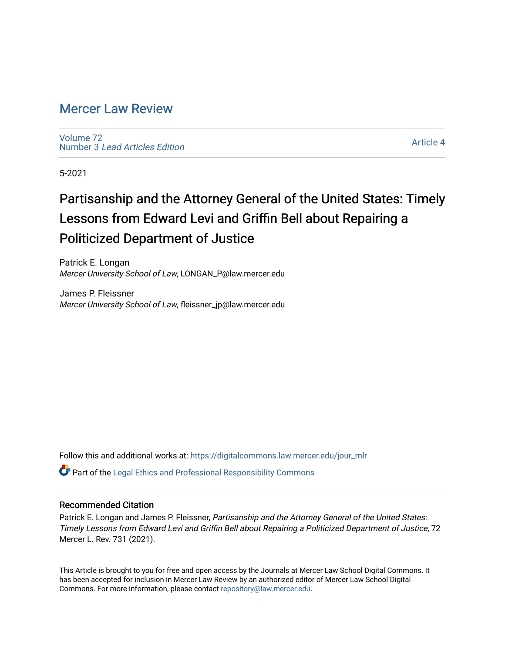## [Mercer Law Review](https://digitalcommons.law.mercer.edu/jour_mlr)

[Volume 72](https://digitalcommons.law.mercer.edu/jour_mlr/vol72) Number 3 [Lead Articles Edition](https://digitalcommons.law.mercer.edu/jour_mlr/vol72/iss3)

[Article 4](https://digitalcommons.law.mercer.edu/jour_mlr/vol72/iss3/4) 

5-2021

## Partisanship and the Attorney General of the United States: Timely Lessons from Edward Levi and Griffin Bell about Repairing a Politicized Department of Justice

Patrick E. Longan Mercer University School of Law, LONGAN\_P@law.mercer.edu

James P. Fleissner Mercer University School of Law, fleissner\_jp@law.mercer.edu

Follow this and additional works at: [https://digitalcommons.law.mercer.edu/jour\\_mlr](https://digitalcommons.law.mercer.edu/jour_mlr?utm_source=digitalcommons.law.mercer.edu%2Fjour_mlr%2Fvol72%2Fiss3%2F4&utm_medium=PDF&utm_campaign=PDFCoverPages)

Part of the [Legal Ethics and Professional Responsibility Commons](http://network.bepress.com/hgg/discipline/895?utm_source=digitalcommons.law.mercer.edu%2Fjour_mlr%2Fvol72%2Fiss3%2F4&utm_medium=PDF&utm_campaign=PDFCoverPages)

## Recommended Citation

Patrick E. Longan and James P. Fleissner, Partisanship and the Attorney General of the United States: Timely Lessons from Edward Levi and Griffin Bell about Repairing a Politicized Department of Justice, 72 Mercer L. Rev. 731 (2021).

This Article is brought to you for free and open access by the Journals at Mercer Law School Digital Commons. It has been accepted for inclusion in Mercer Law Review by an authorized editor of Mercer Law School Digital Commons. For more information, please contact [repository@law.mercer.edu.](mailto:repository@law.mercer.edu)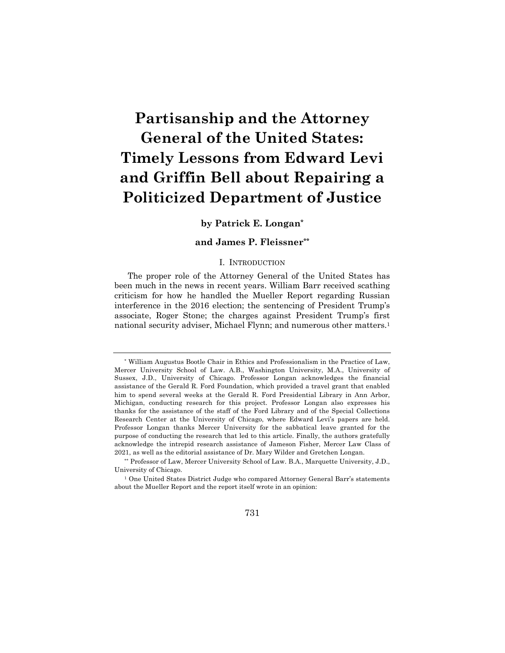# **Partisanship and the Attorney General of the United States: Timely Lessons from Edward Levi and Griffin Bell about Repairing a Politicized Department of Justice**

**by Patrick E. Longan\***

**and James P. Fleissner\*\***

## I. INTRODUCTION

The proper role of the Attorney General of the United States has been much in the news in recent years. William Barr received scathing criticism for how he handled the Mueller Report regarding Russian interference in the 2016 election; the sentencing of President Trump's associate, Roger Stone; the charges against President Trump's first national security adviser, Michael Flynn; and numerous other matters.1

<sup>\*</sup> William Augustus Bootle Chair in Ethics and Professionalism in the Practice of Law, Mercer University School of Law. A.B., Washington University, M.A., University of Sussex, J.D., University of Chicago. Professor Longan acknowledges the financial assistance of the Gerald R. Ford Foundation, which provided a travel grant that enabled him to spend several weeks at the Gerald R. Ford Presidential Library in Ann Arbor, Michigan, conducting research for this project. Professor Longan also expresses his thanks for the assistance of the staff of the Ford Library and of the Special Collections Research Center at the University of Chicago, where Edward Levi's papers are held. Professor Longan thanks Mercer University for the sabbatical leave granted for the purpose of conducting the research that led to this article. Finally, the authors gratefully acknowledge the intrepid research assistance of Jameson Fisher, Mercer Law Class of 2021, as well as the editorial assistance of Dr. Mary Wilder and Gretchen Longan.

<sup>\*\*</sup> Professor of Law, Mercer University School of Law. B.A., Marquette University, J.D., University of Chicago.

<sup>1</sup> One United States District Judge who compared Attorney General Barr's statements about the Mueller Report and the report itself wrote in an opinion: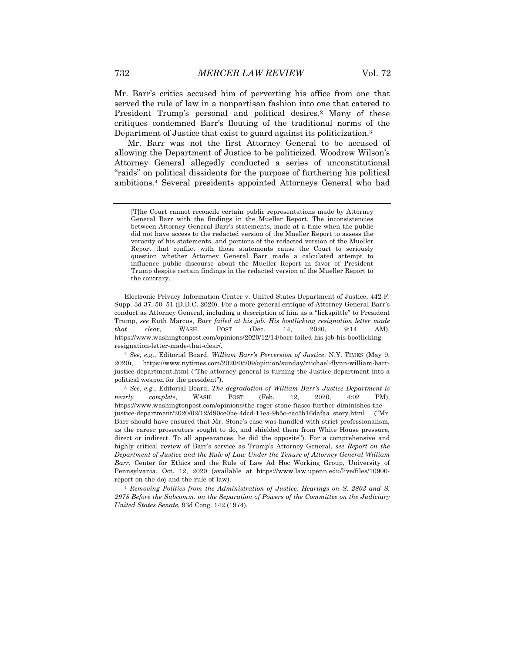Mr. Barr's critics accused him of perverting his office from one that served the rule of law in a nonpartisan fashion into one that catered to President Trump's personal and political desires.<sup>2</sup> Many of these critiques condemned Barr's flouting of the traditional norms of the Department of Justice that exist to guard against its politicization.<sup>3</sup>

Mr. Barr was not the first Attorney General to be accused of allowing the Department of Justice to be politicized. Woodrow Wilson's Attorney General allegedly conducted a series of unconstitutional "raids" on political dissidents for the purpose of furthering his political ambitions.4 Several presidents appointed Attorneys General who had

<sup>[</sup>T]he Court cannot reconcile certain public representations made by Attorney General Barr with the findings in the Mueller Report. The inconsistencies between Attorney General Barr's statements, made at a time when the public did not have access to the redacted version of the Mueller Report to assess the veracity of his statements, and portions of the redacted version of the Mueller Report that conflict with those statements cause the Court to seriously question whether Attorney General Barr made a calculated attempt to influence public discourse about the Mueller Report in favor of President Trump despite certain findings in the redacted version of the Mueller Report to the contrary.

Electronic Privacy Information Center v. United States Department of Justice, 442 F. Supp. 3d 37, 50–51 (D.D.C. 2020). For a more general critique of Attorney General Barr's conduct as Attorney General, including a description of him as a "lickspittle" to President Trump, *see* Ruth Marcus, *Barr failed at his job. His bootlicking resignation letter made that clear*, WASH. POST (Dec. 14, 2020, 9:14 AM), https://www.washingtonpost.com/opinions/2020/12/14/barr-failed-his-job-his-bootlickingresignation-letter-made-that-clear/.

<sup>2</sup> *See*, *e.g*., Editorial Board, *William Barr's Perversion of Justice*, N.Y. TIMES (May 9, 2020), https://www.nytimes.com/2020/05/09/opinion/sunday/michael-flynn-william-barrjustice-department.html ("The attorney general is turning the Justice department into a political weapon for the president").

<sup>3</sup> *See*, *e.g.*, Editorial Board, *The degradation of William Barr's Justice Department is nearly complete*, WASH. POST (Feb. 12, 2020, 4:02 PM), https://www.washingtonpost.com/opinions/the-roger-stone-fiasco-further-diminishes-thejustice-department/2020/02/12/d90ce0be-4dcd-11ea-9b5c-eac5b16dafaa\_story.html ("Mr. Barr should have ensured that Mr. Stone's case was handled with strict professionalism, as the career prosecutors sought to do, and shielded them from White House pressure, direct or indirect. To all appearances, he did the opposite"). For a comprehensive and highly critical review of Barr's service as Trump's Attorney General, *see Report on the Department of Justice and the Rule of Law Under the Tenure of Attorney General William Barr*, Center for Ethics and the Rule of Law Ad Hoc Working Group, University of Pennsylvania, Oct. 12, 2020 (available at https://www.law.upenn.edu/live/files/10900 report-on-the-doj-and-the-rule-of-law).

<sup>4</sup> *Removing Politics from the Administration of Justice: Hearings on S. 2803 and S. 2978 Before the Subcomm. on the Separation of Powers of the Committee on the Judiciary United States Senate,* 93d Cong. 142 (1974).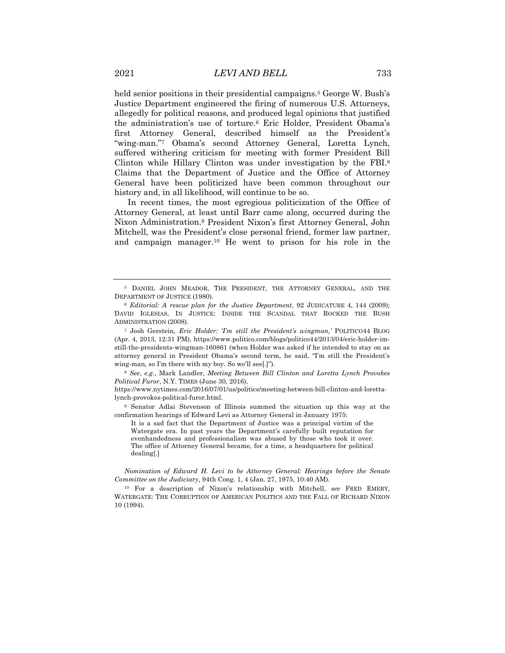held senior positions in their presidential campaigns.<sup>5</sup> George W. Bush's Justice Department engineered the firing of numerous U.S. Attorneys, allegedly for political reasons, and produced legal opinions that justified the administration's use of torture.6 Eric Holder, President Obama's first Attorney General, described himself as the President's "wing-man."7 Obama's second Attorney General, Loretta Lynch, suffered withering criticism for meeting with former President Bill Clinton while Hillary Clinton was under investigation by the FBI.8 Claims that the Department of Justice and the Office of Attorney General have been politicized have been common throughout our history and, in all likelihood, will continue to be so.

In recent times, the most egregious politicization of the Office of Attorney General, at least until Barr came along, occurred during the Nixon Administration.9 President Nixon's first Attorney General, John Mitchell, was the President's close personal friend, former law partner, and campaign manager.10 He went to prison for his role in the

<sup>8</sup> *See*, *e.g.*, Mark Landler, *Meeting Between Bill Clinton and Loretta Lynch Provokes Political Furor*, N.Y. TIMES (June 30, 2016),

https://www.nytimes.com/2016/07/01/us/politics/meeting-between-bill-clinton-and-lorettalynch-provokes-political-furor.html.

<sup>9</sup> Senator Adlai Stevenson of Illinois summed the situation up this way at the confirmation hearings of Edward Levi as Attorney General in January 1975:

It is a sad fact that the Department of Justice was a principal victim of the Watergate era. In past years the Department's carefully built reputation for evenhandedness and professionalism was abused by those who took it over. The office of Attorney General became, for a time, a headquarters for political dealing[.]

*Nomination of Edward H. Levi to be Attorney General: Hearings before the Senate Committee on the Judiciary*, 94th Cong. 1, 4 (Jan. 27, 1975, 10:40 AM).

<sup>10</sup> For a description of Nixon's relationship with Mitchell, *see* FRED EMERY, WATERGATE: THE CORRUPTION OF AMERICAN POLITICS AND THE FALL OF RICHARD NIXON 10 (1994).

<sup>5</sup> DANIEL JOHN MEADOR, THE PRESIDENT, THE ATTORNEY GENERAL, AND THE DEPARTMENT OF JUSTICE (1980).

<sup>6</sup> *Editorial: A rescue plan for the Justice Department*, 92 JUDICATURE 4, 144 (2009); DAVID IGLESIAS, IN JUSTICE: INSIDE THE SCANDAL THAT ROCKED THE BUSH ADMINISTRATION (2008).

<sup>7</sup> Josh Gerstein, *Eric Holder: 'I'm still the President's wingman,'* POLITICO44 BLOG (Apr. 4, 2013, 12:31 PM), https://www.politico.com/blogs/politico44/2013/04/eric-holder-imstill-the-presidents-wingman-160861 (when Holder was asked if he intended to stay on as attorney general in President Obama's second term, he said, "I'm still the President's wing-man, so I'm there with my boy. So we'll see[.]").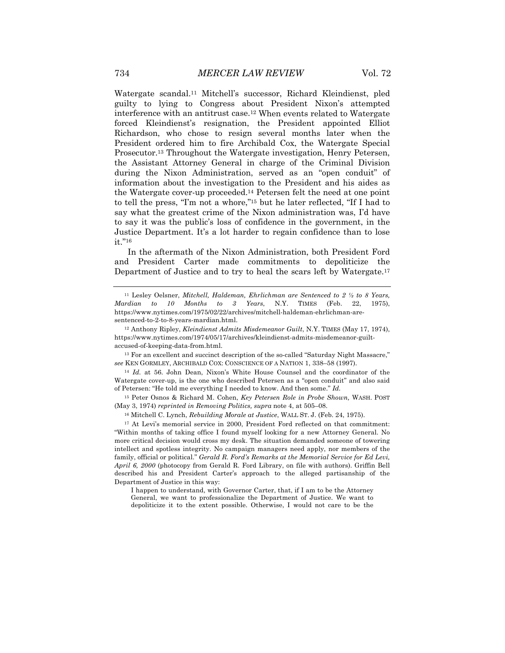Watergate scandal.11 Mitchell's successor, Richard Kleindienst, pled guilty to lying to Congress about President Nixon's attempted interference with an antitrust case.12 When events related to Watergate forced Kleindienst's resignation, the President appointed Elliot Richardson, who chose to resign several months later when the President ordered him to fire Archibald Cox, the Watergate Special Prosecutor.13 Throughout the Watergate investigation, Henry Petersen, the Assistant Attorney General in charge of the Criminal Division during the Nixon Administration, served as an "open conduit" of information about the investigation to the President and his aides as the Watergate cover-up proceeded.14 Petersen felt the need at one point to tell the press, "I'm not a whore,"15 but he later reflected, "If I had to say what the greatest crime of the Nixon administration was, I'd have to say it was the public's loss of confidence in the government, in the Justice Department. It's a lot harder to regain confidence than to lose it."16

In the aftermath of the Nixon Administration, both President Ford and President Carter made commitments to depoliticize the Department of Justice and to try to heal the scars left by Watergate.17

<sup>14</sup> *Id.* at 56. John Dean, Nixon's White House Counsel and the coordinator of the Watergate cover-up, is the one who described Petersen as a "open conduit" and also said of Petersen: "He told me everything I needed to know. And then some." *Id.*

<sup>15</sup> Peter Osnos & Richard M. Cohen, *Key Petersen Role in Probe Shown,* WASH. POST (May 3, 1974) *reprinted in Removing Politics, supra* note 4, at 505–08.

<sup>16</sup> Mitchell C. Lynch, *Rebuilding Morale at Justice*, WALL ST. J. (Feb. 24, 1975).

<sup>17</sup> At Levi's memorial service in 2000, President Ford reflected on that commitment: "Within months of taking office I found myself looking for a new Attorney General. No more critical decision would cross my desk. The situation demanded someone of towering intellect and spotless integrity. No campaign managers need apply, nor members of the family, official or political." *Gerald R. Ford's Remarks at the Memorial Service for Ed Levi, April 6, 2000* (photocopy from Gerald R. Ford Library, on file with authors). Griffin Bell described his and President Carter's approach to the alleged partisanship of the Department of Justice in this way:

I happen to understand, with Governor Carter, that, if I am to be the Attorney General, we want to professionalize the Department of Justice. We want to depoliticize it to the extent possible. Otherwise, I would not care to be the

<sup>11</sup> Lesley Oelsner, *Mitchell, Haldeman, Ehrlichman are Sentenced to 2 ½ to 8 Years, Mardian to 10 Months to 3 Years*, N.Y. TIMES (Feb. 22, 1975), https://www.nytimes.com/1975/02/22/archives/mitchell-haldeman-ehrlichman-aresentenced-to-2-to-8-years-mardian.html.

<sup>12</sup> Anthony Ripley, *Kleindienst Admits Misdemeanor Guilt*, N.Y. TIMES (May 17, 1974), https://www.nytimes.com/1974/05/17/archives/kleindienst-admits-misdemeanor-guiltaccused-of-keeping-data-from.html.

<sup>&</sup>lt;sup>13</sup> For an excellent and succinct description of the so-called "Saturday Night Massacre," *see* KEN GORMLEY, ARCHIBALD COX: CONSCIENCE OF A NATION 1, 338–58 (1997).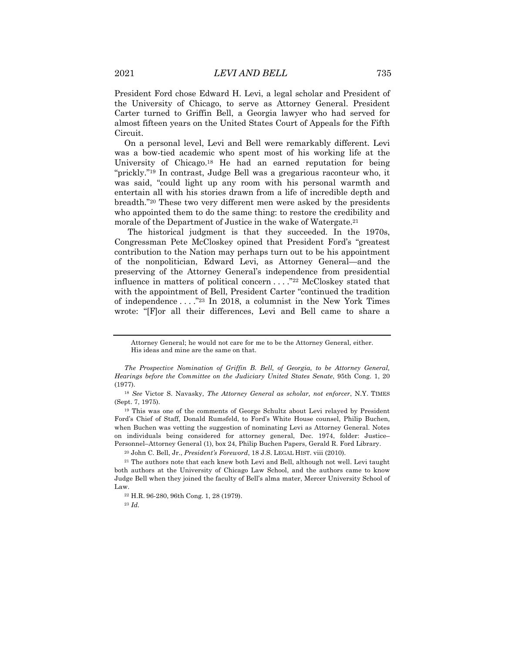President Ford chose Edward H. Levi, a legal scholar and President of the University of Chicago, to serve as Attorney General. President Carter turned to Griffin Bell, a Georgia lawyer who had served for almost fifteen years on the United States Court of Appeals for the Fifth Circuit.

On a personal level, Levi and Bell were remarkably different. Levi was a bow-tied academic who spent most of his working life at the University of Chicago.18 He had an earned reputation for being "prickly."19 In contrast, Judge Bell was a gregarious raconteur who, it was said, "could light up any room with his personal warmth and entertain all with his stories drawn from a life of incredible depth and breadth."20 These two very different men were asked by the presidents who appointed them to do the same thing: to restore the credibility and morale of the Department of Justice in the wake of Watergate.<sup>21</sup>

The historical judgment is that they succeeded. In the 1970s, Congressman Pete McCloskey opined that President Ford's "greatest contribution to the Nation may perhaps turn out to be his appointment of the nonpolitician, Edward Levi, as Attorney General—and the preserving of the Attorney General's independence from presidential influence in matters of political concern . . . ."22 McCloskey stated that with the appointment of Bell, President Carter "continued the tradition of independence . . . ."23 In 2018, a columnist in the New York Times wrote: "[F]or all their differences, Levi and Bell came to share a

<sup>20</sup> John C. Bell, Jr., *President's Foreword*, 18 J.S. LEGAL HIST. viii (2010).

Attorney General; he would not care for me to be the Attorney General, either. His ideas and mine are the same on that.

*The Prospective Nomination of Griffin B. Bell, of Georgia, to be Attorney General, Hearings before the Committee on the Judiciary United States Senate*, 95th Cong. 1, 20 (1977).

<sup>18</sup> *See* Victor S. Navasky, *The Attorney General as scholar, not enforcer*, N.Y. TIMES (Sept. 7, 1975).

<sup>19</sup> This was one of the comments of George Schultz about Levi relayed by President Ford's Chief of Staff, Donald Rumsfeld, to Ford's White House counsel, Philip Buchen, when Buchen was vetting the suggestion of nominating Levi as Attorney General. Notes on individuals being considered for attorney general, Dec. 1974, folder: Justice– Personnel–Attorney General (1), box 24, Philip Buchen Papers, Gerald R. Ford Library.

<sup>21</sup> The authors note that each knew both Levi and Bell, although not well. Levi taught both authors at the University of Chicago Law School, and the authors came to know Judge Bell when they joined the faculty of Bell's alma mater, Mercer University School of Law.

<sup>22</sup> H.R. 96-280, 96th Cong. 1, 28 (1979).

<sup>23</sup> *Id.*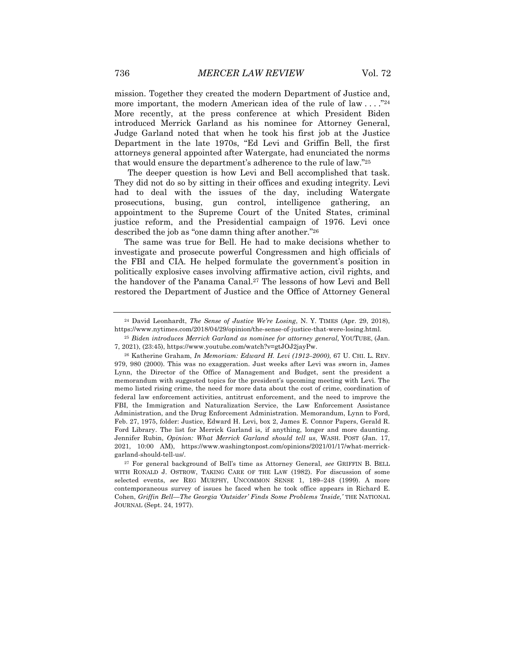mission. Together they created the modern Department of Justice and, more important, the modern American idea of the rule of law ...."<sup>24</sup> More recently, at the press conference at which President Biden introduced Merrick Garland as his nominee for Attorney General, Judge Garland noted that when he took his first job at the Justice Department in the late 1970s, "Ed Levi and Griffin Bell, the first attorneys general appointed after Watergate, had enunciated the norms that would ensure the department's adherence to the rule of law."25

The deeper question is how Levi and Bell accomplished that task. They did not do so by sitting in their offices and exuding integrity. Levi had to deal with the issues of the day, including Watergate prosecutions, busing, gun control, intelligence gathering, an appointment to the Supreme Court of the United States, criminal justice reform, and the Presidential campaign of 1976. Levi once described the job as "one damn thing after another."26

The same was true for Bell. He had to make decisions whether to investigate and prosecute powerful Congressmen and high officials of the FBI and CIA. He helped formulate the government's position in politically explosive cases involving affirmative action, civil rights, and the handover of the Panama Canal.27 The lessons of how Levi and Bell restored the Department of Justice and the Office of Attorney General

<sup>24</sup> David Leonhardt, *The Sense of Justice We're Losing*, N. Y. TIMES (Apr. 29, 2018), https://www.nytimes.com/2018/04/29/opinion/the-sense-of-justice-that-were-losing.html.

<sup>25</sup> *Biden introduces Merrick Garland as nominee for attorney general,* YOUTUBE, (Jan. 7, 2021), (23:45), https://www.youtube.com/watch?v=gtJOJ2jayPw.

<sup>26</sup> Katherine Graham, *In Memoriam: Edward H. Levi (1912–2000)*, 67 U. CHI. L. REV. 979, 980 (2000). This was no exaggeration. Just weeks after Levi was sworn in, James Lynn, the Director of the Office of Management and Budget, sent the president a memorandum with suggested topics for the president's upcoming meeting with Levi. The memo listed rising crime, the need for more data about the cost of crime, coordination of federal law enforcement activities, antitrust enforcement, and the need to improve the FBI, the Immigration and Naturalization Service, the Law Enforcement Assistance Administration, and the Drug Enforcement Administration. Memorandum, Lynn to Ford, Feb. 27, 1975, folder: Justice, Edward H. Levi, box 2, James E. Connor Papers, Gerald R. Ford Library. The list for Merrick Garland is, if anything, longer and more daunting. Jennifer Rubin, *Opinion: What Merrick Garland should tell us*, WASH. POST (Jan. 17, 2021, 10:00 AM), https://www.washingtonpost.com/opinions/2021/01/17/what-merrickgarland-should-tell-us/.

<sup>27</sup> For general background of Bell's time as Attorney General, *see* GRIFFIN B. BELL WITH RONALD J. OSTROW, TAKING CARE OF THE LAW (1982). For discussion of some selected events, *see* REG MURPHY, UNCOMMON SENSE 1, 189–248 (1999). A more contemporaneous survey of issues he faced when he took office appears in Richard E. Cohen, *Griffin Bell—The Georgia 'Outsider' Finds Some Problems 'Inside,'* THE NATIONAL JOURNAL (Sept. 24, 1977).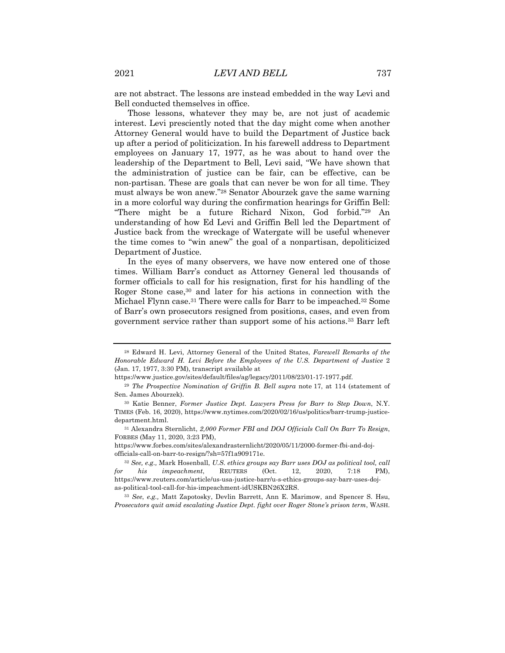are not abstract. The lessons are instead embedded in the way Levi and Bell conducted themselves in office.

Those lessons, whatever they may be, are not just of academic interest. Levi presciently noted that the day might come when another Attorney General would have to build the Department of Justice back up after a period of politicization. In his farewell address to Department employees on January 17, 1977, as he was about to hand over the leadership of the Department to Bell, Levi said, "We have shown that the administration of justice can be fair, can be effective, can be non-partisan. These are goals that can never be won for all time. They must always be won anew."28 Senator Abourzek gave the same warning in a more colorful way during the confirmation hearings for Griffin Bell: "There might be a future Richard Nixon, God forbid."29 An understanding of how Ed Levi and Griffin Bell led the Department of Justice back from the wreckage of Watergate will be useful whenever the time comes to "win anew" the goal of a nonpartisan, depoliticized Department of Justice.

In the eyes of many observers, we have now entered one of those times. William Barr's conduct as Attorney General led thousands of former officials to call for his resignation, first for his handling of the Roger Stone case,30 and later for his actions in connection with the Michael Flynn case.31 There were calls for Barr to be impeached.32 Some of Barr's own prosecutors resigned from positions, cases, and even from government service rather than support some of his actions.33 Barr left

https://www.forbes.com/sites/alexandrasternlicht/2020/05/11/2000-former-fbi-and-dojofficials-call-on-barr-to-resign/?sh=57f1a909171e.

<sup>28</sup> Edward H. Levi, Attorney General of the United States, *Farewell Remarks of the Honorable Edward H. Levi Before the Employees of the U.S. Department of Justice* 2 (Jan. 17, 1977, 3:30 PM), transcript available at

https://www.justice.gov/sites/default/files/ag/legacy/2011/08/23/01-17-1977.pdf.

<sup>&</sup>lt;sup>29</sup> *The Prospective Nomination of Griffin B. Bell supra* note 17, at 114 (statement of Sen. James Abourzek).

<sup>30</sup> Katie Benner, *Former Justice Dept. Lawyers Press for Barr to Step Down*, N.Y. TIMES (Feb. 16, 2020), https://www.nytimes.com/2020/02/16/us/politics/barr-trump-justicedepartment.html.

<sup>31</sup> Alexandra Sternlicht, *2,000 Former FBI and DOJ Officials Call On Barr To Resign*, FORBES (May 11, 2020, 3:23 PM),

<sup>32</sup> *See, e.g.,* Mark Hosenball, *U.S. ethics groups say Barr uses DOJ as political tool, call for his impeachment*, REUTERS (Oct. 12, 2020, 7:18 PM), https://www.reuters.com/article/us-usa-justice-barr/u-s-ethics-groups-say-barr-uses-dojas-political-tool-call-for-his-impeachment-idUSKBN26X2RS.

<sup>33</sup> *See*, *e.g.,* Matt Zapotosky, Devlin Barrett, Ann E. Marimow, and Spencer S. Hsu, *Prosecutors quit amid escalating Justice Dept. fight over Roger Stone's prison term*, WASH.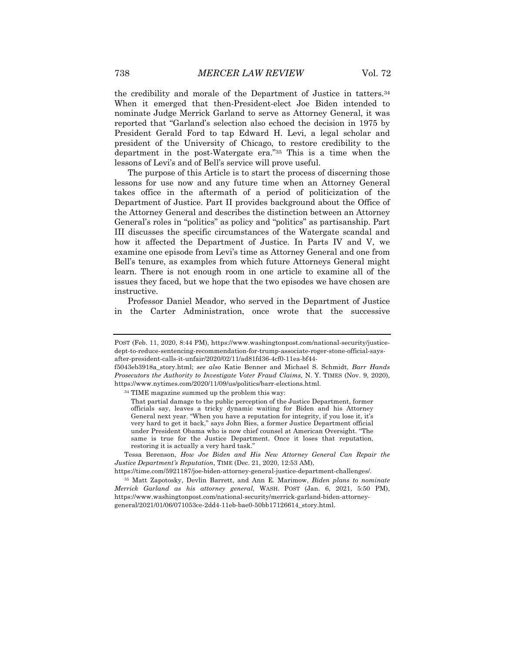the credibility and morale of the Department of Justice in tatters.34 When it emerged that then-President-elect Joe Biden intended to nominate Judge Merrick Garland to serve as Attorney General, it was reported that "Garland's selection also echoed the decision in 1975 by President Gerald Ford to tap Edward H. Levi, a legal scholar and president of the University of Chicago, to restore credibility to the department in the post-Watergate era."35 This is a time when the lessons of Levi's and of Bell's service will prove useful.

The purpose of this Article is to start the process of discerning those lessons for use now and any future time when an Attorney General takes office in the aftermath of a period of politicization of the Department of Justice. Part II provides background about the Office of the Attorney General and describes the distinction between an Attorney General's roles in "politics" as policy and "politics" as partisanship. Part III discusses the specific circumstances of the Watergate scandal and how it affected the Department of Justice. In Parts IV and V, we examine one episode from Levi's time as Attorney General and one from Bell's tenure, as examples from which future Attorneys General might learn. There is not enough room in one article to examine all of the issues they faced, but we hope that the two episodes we have chosen are instructive.

Professor Daniel Meador, who served in the Department of Justice in the Carter Administration, once wrote that the successive

POST (Feb. 11, 2020, 8:44 PM), https://www.washingtonpost.com/national-security/justicedept-to-reduce-sentencing-recommendation-for-trump-associate-roger-stone-official-saysafter-president-calls-it-unfair/2020/02/11/ad81fd36-4cf0-11ea-bf44-

f5043eb3918a\_story.html; *see also* Katie Benner and Michael S. Schmidt, *Barr Hands Prosecutors the Authority to Investigate Voter Fraud Claims,* N. Y. TIMES (Nov. 9, 2020), https://www.nytimes.com/2020/11/09/us/politics/barr-elections.html.

<sup>34</sup> TIME magazine summed up the problem this way:

That partial damage to the public perception of the Justice Department, former officials say, leaves a tricky dynamic waiting for Biden and his Attorney General next year. "When you have a reputation for integrity, if you lose it, it's very hard to get it back," says John Bies, a former Justice Department official under President Obama who is now chief counsel at American Oversight. "The same is true for the Justice Department. Once it loses that reputation, restoring it is actually a very hard task."

Tessa Berenson, *How Joe Biden and His New Attorney General Can Repair the Justice Department's Reputation*, TIME (Dec. 21, 2020, 12:53 AM),

https://time.com/5921187/joe-biden-attorney-general-justice-department-challenges/.

<sup>35</sup> Matt Zapotosky, Devlin Barrett, and Ann E. Marimow, *Biden plans to nominate Merrick Garland as his attorney general*, WASH. POST (Jan. 6, 2021, 5:50 PM), https://www.washingtonpost.com/national-security/merrick-garland-biden-attorneygeneral/2021/01/06/071053ce-2dd4-11eb-bae0-50bb17126614\_story.html.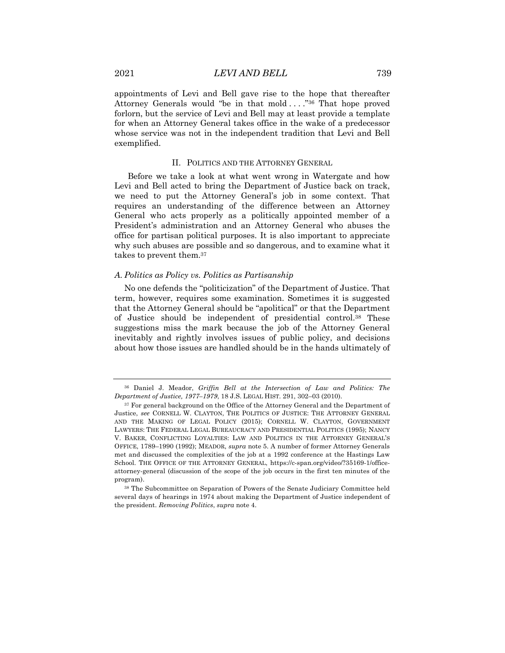appointments of Levi and Bell gave rise to the hope that thereafter Attorney Generals would "be in that mold . . . . "36 That hope proved forlorn, but the service of Levi and Bell may at least provide a template for when an Attorney General takes office in the wake of a predecessor whose service was not in the independent tradition that Levi and Bell exemplified.

#### II. POLITICS AND THE ATTORNEY GENERAL

Before we take a look at what went wrong in Watergate and how Levi and Bell acted to bring the Department of Justice back on track, we need to put the Attorney General's job in some context. That requires an understanding of the difference between an Attorney General who acts properly as a politically appointed member of a President's administration and an Attorney General who abuses the office for partisan political purposes. It is also important to appreciate why such abuses are possible and so dangerous, and to examine what it takes to prevent them.37

## *A. Politics as Policy vs. Politics as Partisanship*

No one defends the "politicization" of the Department of Justice. That term, however, requires some examination. Sometimes it is suggested that the Attorney General should be "apolitical" or that the Department of Justice should be independent of presidential control.38 These suggestions miss the mark because the job of the Attorney General inevitably and rightly involves issues of public policy, and decisions about how those issues are handled should be in the hands ultimately of

<sup>38</sup> The Subcommittee on Separation of Powers of the Senate Judiciary Committee held several days of hearings in 1974 about making the Department of Justice independent of the president. *Removing Politics*, *supra* note 4.

<sup>36</sup> Daniel J. Meador, *Griffin Bell at the Intersection of Law and Politics: The Department of Justice, 1977–1979*, 18 J.S. LEGAL HIST. 291, 302–03 (2010).

<sup>&</sup>lt;sup>37</sup> For general background on the Office of the Attorney General and the Department of Justice, *see* CORNELL W. CLAYTON, THE POLITICS OF JUSTICE: THE ATTORNEY GENERAL AND THE MAKING OF LEGAL POLICY (2015); CORNELL W. CLAYTON, GOVERNMENT LAWYERS: THE FEDERAL LEGAL BUREAUCRACY AND PRESIDENTIAL POLITICS (1995); NANCY V. BAKER, CONFLICTING LOYALTIES: LAW AND POLITICS IN THE ATTORNEY GENERAL'S OFFICE, 1789–1990 (1992); MEADOR, *supra* note 5. A number of former Attorney Generals met and discussed the complexities of the job at a 1992 conference at the Hastings Law School. THE OFFICE OF THE ATTORNEY GENERAL, https://c-span.org/video/?35169-1/officeattorney-general (discussion of the scope of the job occurs in the first ten minutes of the program).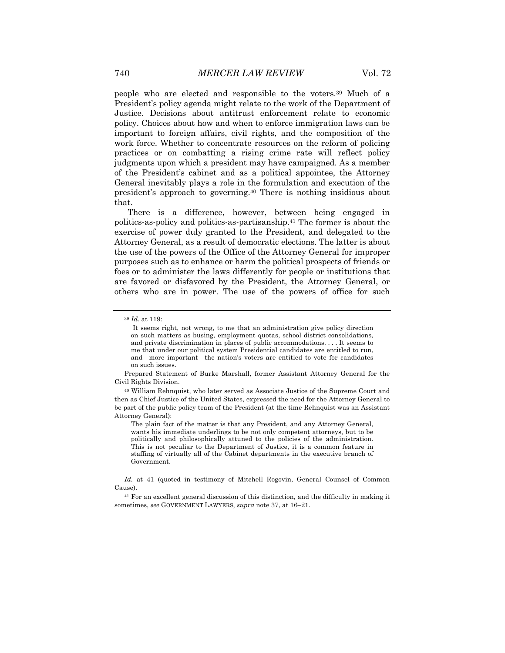people who are elected and responsible to the voters.39 Much of a President's policy agenda might relate to the work of the Department of Justice. Decisions about antitrust enforcement relate to economic policy. Choices about how and when to enforce immigration laws can be important to foreign affairs, civil rights, and the composition of the work force. Whether to concentrate resources on the reform of policing practices or on combatting a rising crime rate will reflect policy judgments upon which a president may have campaigned. As a member of the President's cabinet and as a political appointee, the Attorney General inevitably plays a role in the formulation and execution of the president's approach to governing.40 There is nothing insidious about that.

There is a difference, however, between being engaged in politics-as-policy and politics-as-partisanship.41 The former is about the exercise of power duly granted to the President, and delegated to the Attorney General, as a result of democratic elections. The latter is about the use of the powers of the Office of the Attorney General for improper purposes such as to enhance or harm the political prospects of friends or foes or to administer the laws differently for people or institutions that are favored or disfavored by the President, the Attorney General, or others who are in power. The use of the powers of office for such

<sup>39</sup> *Id.* at 119:

It seems right, not wrong, to me that an administration give policy direction on such matters as busing, employment quotas, school district consolidations, and private discrimination in places of public accommodations. . . . It seems to me that under our political system Presidential candidates are entitled to run, and—more important—the nation's voters are entitled to vote for candidates on such issues.

Prepared Statement of Burke Marshall, former Assistant Attorney General for the Civil Rights Division.

<sup>40</sup> William Rehnquist, who later served as Associate Justice of the Supreme Court and then as Chief Justice of the United States, expressed the need for the Attorney General to be part of the public policy team of the President (at the time Rehnquist was an Assistant Attorney General):

The plain fact of the matter is that any President, and any Attorney General, wants his immediate underlings to be not only competent attorneys, but to be politically and philosophically attuned to the policies of the administration. This is not peculiar to the Department of Justice, it is a common feature in staffing of virtually all of the Cabinet departments in the executive branch of Government.

*Id.* at 41 (quoted in testimony of Mitchell Rogovin, General Counsel of Common Cause).

<sup>41</sup> For an excellent general discussion of this distinction, and the difficulty in making it sometimes, *see* GOVERNMENT LAWYERS, *supra* note 37, at 16–21.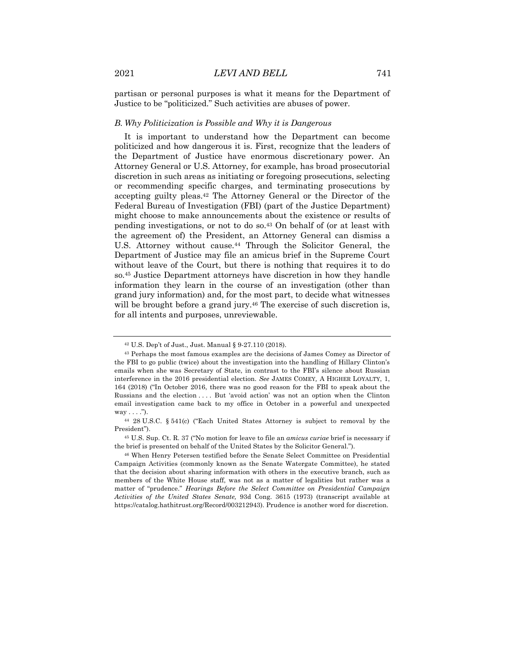partisan or personal purposes is what it means for the Department of Justice to be "politicized." Such activities are abuses of power.

#### *B. Why Politicization is Possible and Why it is Dangerous*

It is important to understand how the Department can become politicized and how dangerous it is. First, recognize that the leaders of the Department of Justice have enormous discretionary power. An Attorney General or U.S. Attorney, for example, has broad prosecutorial discretion in such areas as initiating or foregoing prosecutions, selecting or recommending specific charges, and terminating prosecutions by accepting guilty pleas.42 The Attorney General or the Director of the Federal Bureau of Investigation (FBI) (part of the Justice Department) might choose to make announcements about the existence or results of pending investigations, or not to do so.43 On behalf of (or at least with the agreement of) the President, an Attorney General can dismiss a U.S. Attorney without cause.44 Through the Solicitor General, the Department of Justice may file an amicus brief in the Supreme Court without leave of the Court, but there is nothing that requires it to do so.45 Justice Department attorneys have discretion in how they handle information they learn in the course of an investigation (other than grand jury information) and, for the most part, to decide what witnesses will be brought before a grand jury.<sup>46</sup> The exercise of such discretion is, for all intents and purposes, unreviewable.

<sup>42</sup> U.S. Dep't of Just., Just. Manual § 9-27.110 (2018).

<sup>43</sup> Perhaps the most famous examples are the decisions of James Comey as Director of the FBI to go public (twice) about the investigation into the handling of Hillary Clinton's emails when she was Secretary of State, in contrast to the FBI's silence about Russian interference in the 2016 presidential election. *See* JAMES COMEY*,* A HIGHER LOYALTY, 1, 164 (2018) ("In October 2016, there was no good reason for the FBI to speak about the Russians and the election . . . . But 'avoid action' was not an option when the Clinton email investigation came back to my office in October in a powerful and unexpected  $way \dots$ ").

<sup>44</sup> 28 U.S.C. § 541(c) ("Each United States Attorney is subject to removal by the President").

<sup>45</sup> U.S. Sup. Ct. R. 37 ("No motion for leave to file an *amicus curiae* brief is necessary if the brief is presented on behalf of the United States by the Solicitor General.").

<sup>46</sup> When Henry Petersen testified before the Senate Select Committee on Presidential Campaign Activities (commonly known as the Senate Watergate Committee), he stated that the decision about sharing information with others in the executive branch, such as members of the White House staff, was not as a matter of legalities but rather was a matter of "prudence." *Hearings Before the Select Committee on Presidential Campaign Activities of the United States Senate,* 93d Cong. 3615 (1973) (transcript available at https://catalog.hathitrust.org/Record/003212943). Prudence is another word for discretion.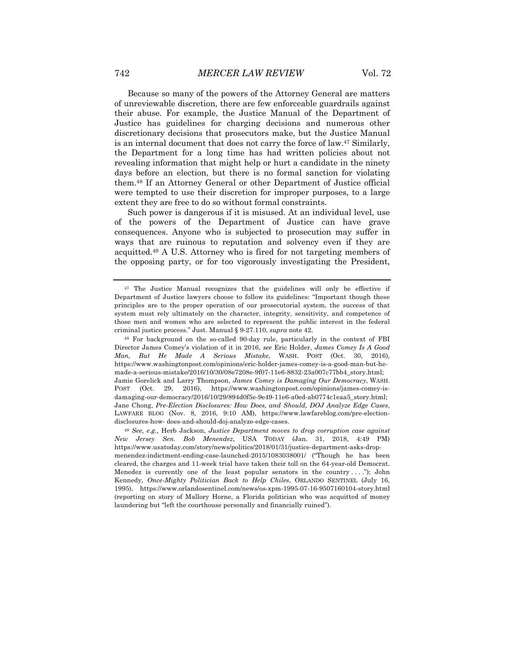Because so many of the powers of the Attorney General are matters of unreviewable discretion, there are few enforceable guardrails against their abuse. For example, the Justice Manual of the Department of Justice has guidelines for charging decisions and numerous other discretionary decisions that prosecutors make, but the Justice Manual is an internal document that does not carry the force of law.<sup>47</sup> Similarly, the Department for a long time has had written policies about not revealing information that might help or hurt a candidate in the ninety days before an election, but there is no formal sanction for violating them.48 If an Attorney General or other Department of Justice official were tempted to use their discretion for improper purposes, to a large extent they are free to do so without formal constraints.

Such power is dangerous if it is misused. At an individual level, use of the powers of the Department of Justice can have grave consequences. Anyone who is subjected to prosecution may suffer in ways that are ruinous to reputation and solvency even if they are acquitted.49 A U.S. Attorney who is fired for not targeting members of the opposing party, or for too vigorously investigating the President,

<sup>47</sup> The Justice Manual recognizes that the guidelines will only be effective if Department of Justice lawyers choose to follow its guidelines: "Important though these principles are to the proper operation of our prosecutorial system, the success of that system must rely ultimately on the character, integrity, sensitivity, and competence of those men and women who are selected to represent the public interest in the federal criminal justice process." Just. Manual § 9-27.110, *supra* note 42.

<sup>48</sup> For background on the so-called 90-day rule, particularly in the context of FBI Director James Comey's violation of it in 2016, *see* Eric Holder, *James Comey Is A Good Man, But He Made A Serious Mistake*, WASH. POST (Oct. 30, 2016), https://www.washingtonpost.com/opinions/eric-holder-james-comey-is-a-good-man-but-hemade-a-serious-mistake/2016/10/30/08e7208e-9f07-11e6-8832-23a007c77bb4\_story.html; Jamie Gorelick and Larry Thompson, *James Comey is Damaging Our Democracy*, WASH. POST (Oct. 29, 2016), https://www.washingtonpost.com/opinions/james-comey-isdamaging-our-democracy/2016/10/29/894d0f5e-9e49-11e6-a0ed-ab0774c1eaa5\_story.html; Jane Chong, *Pre-Election Disclosures: How Does, and Should, DOJ Analyze Edge Cases*, LAWFARE BLOG (Nov. 8, 2016, 9:10 AM), https://www.lawfareblog.com/pre-electiondisclosures-how- does-and-should-doj-analyze-edge-cases.

<sup>49</sup> *See*, *e.g.,* Herb Jackson, *Justice Department moves to drop corruption case against New Jersey Sen. Bob Menendez*, USA TODAY (Jan. 31, 2018, 4:49 PM) https://www.usatoday.com/story/news/politics/2018/01/31/justice-department-asks-dropmenendez-indictment-ending-case-launched-2015/1083038001/ ("Though he has been cleared, the charges and 11-week trial have taken their toll on the 64-year-old Democrat. Menedez is currently one of the least popular senators in the country . . . ."); John Kennedy, *Once-Mighty Politician Back to Help Chiles*, ORLANDO SENTINEL (July 16, 1995), https://www.orlandosentinel.com/news/os-xpm-1995-07-16-9507160104-story.html (reporting on story of Mallory Horne, a Florida politician who was acquitted of money laundering but "left the courthouse personally and financially ruined").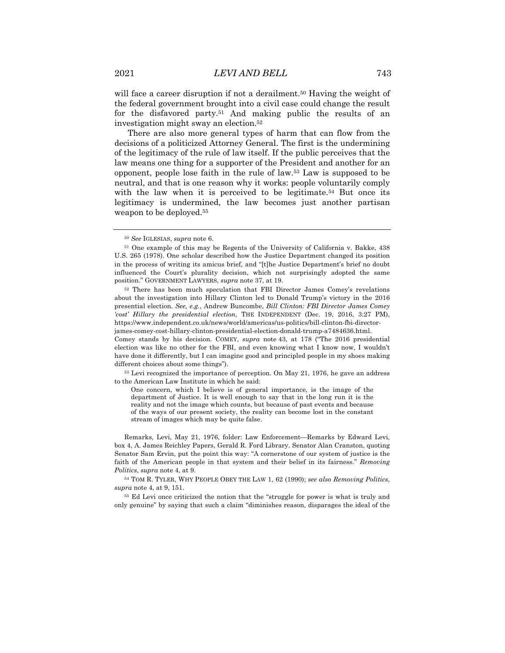will face a career disruption if not a derailment.<sup>50</sup> Having the weight of the federal government brought into a civil case could change the result for the disfavored party.51 And making public the results of an investigation might sway an election.52

There are also more general types of harm that can flow from the decisions of a politicized Attorney General. The first is the undermining of the legitimacy of the rule of law itself. If the public perceives that the law means one thing for a supporter of the President and another for an opponent, people lose faith in the rule of law.53 Law is supposed to be neutral, and that is one reason why it works: people voluntarily comply with the law when it is perceived to be legitimate.<sup>54</sup> But once its legitimacy is undermined, the law becomes just another partisan weapon to be deployed.55

<sup>52</sup> There has been much speculation that FBI Director James Comey's revelations about the investigation into Hillary Clinton led to Donald Trump's victory in the 2016 presential election. *See, e.g.*, Andrew Buncombe, *Bill Clinton: FBI Director James Comey 'cost' Hillary the presidential election*, THE INDEPENDENT (Dec. 19, 2016, 3:27 PM), https://www.independent.co.uk/news/world/americas/us-politics/bill-clinton-fbi-directorjames-comey-cost-hillary-clinton-presidential-election-donald-trump-a7484636.html.

Comey stands by his decision. COMEY, *supra* note 43, at 178 ("The 2016 presidential election was like no other for the FBI, and even knowing what I know now, I wouldn't have done it differently, but I can imagine good and principled people in my shoes making different choices about some things").

<sup>53</sup> Levi recognized the importance of perception. On May 21, 1976, he gave an address to the American Law Institute in which he said:

One concern, which I believe is of general importance, is the image of the department of Justice. It is well enough to say that in the long run it is the reality and not the image which counts, but because of past events and because of the ways of our present society, the reality can become lost in the constant stream of images which may be quite false.

Remarks, Levi, May 21, 1976, folder: Law Enforcement—Remarks by Edward Levi, box 4, A. James Reichley Papers, Gerald R. Ford Library. Senator Alan Cranston, quoting Senator Sam Ervin, put the point this way: "A cornerstone of our system of justice is the faith of the American people in that system and their belief in its fairness." *Removing Politics*, *supra* note 4, at 9.

54 TOM R. TYLER, WHY PEOPLE OBEY THE LAW 1, 62 (1990); *see also Removing Politics*, *supra* note 4, at 9, 151.

<sup>55</sup> Ed Levi once criticized the notion that the "struggle for power is what is truly and only genuine" by saying that such a claim "diminishes reason, disparages the ideal of the

<sup>50</sup> *See* IGLESIAS, *supra* note 6.

<sup>51</sup> One example of this may be Regents of the University of California v. Bakke, 438 U.S. 265 (1978). One scholar described how the Justice Department changed its position in the process of writing its amicus brief, and "[t]he Justice Department's brief no doubt influenced the Court's plurality decision, which not surprisingly adopted the same position." GOVERNMENT LAWYERS, *supra* note 37, at 19.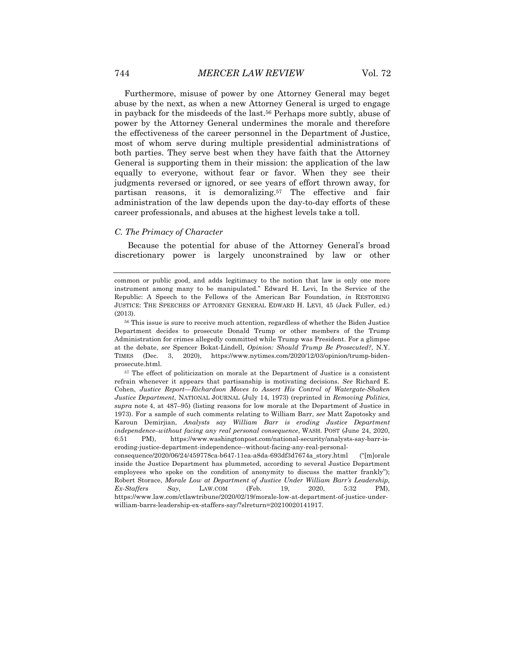Furthermore, misuse of power by one Attorney General may beget abuse by the next, as when a new Attorney General is urged to engage in payback for the misdeeds of the last.56 Perhaps more subtly, abuse of power by the Attorney General undermines the morale and therefore the effectiveness of the career personnel in the Department of Justice, most of whom serve during multiple presidential administrations of both parties. They serve best when they have faith that the Attorney General is supporting them in their mission: the application of the law equally to everyone, without fear or favor. When they see their judgments reversed or ignored, or see years of effort thrown away, for partisan reasons, it is demoralizing.<sup>57</sup> The effective and fair administration of the law depends upon the day-to-day efforts of these career professionals, and abuses at the highest levels take a toll.

#### *C. The Primacy of Character*

Because the potential for abuse of the Attorney General's broad discretionary power is largely unconstrained by law or other

common or public good, and adds legitimacy to the notion that law is only one more instrument among many to be manipulated." Edward H. Levi, In the Service of the Republic: A Speech to the Fellows of the American Bar Foundation, *in* RESTORING JUSTICE: THE SPEECHES OF ATTORNEY GENERAL EDWARD H. LEVI, 45 (Jack Fuller, ed.) (2013).

<sup>56</sup> This issue is sure to receive much attention, regardless of whether the Biden Justice Department decides to prosecute Donald Trump or other members of the Trump Administration for crimes allegedly committed while Trump was President. For a glimpse at the debate, *see* Spencer Bokat-Lindell, *Opinion: Should Trump Be Prosecuted?,* N.Y. TIMES (Dec. 3, 2020), https://www.nytimes.com/2020/12/03/opinion/trump-bidenprosecute.html.

<sup>57</sup> The effect of politicization on morale at the Department of Justice is a consistent refrain whenever it appears that partisanship is motivating decisions. *See* Richard E. Cohen, *Justice Report—Richardson Moves to Assert His Control of Watergate-Shaken Justice Department*, NATIONAL JOURNAL (July 14, 1973) (reprinted in *Removing Politics*, *supra* note 4, at 487–95) (listing reasons for low morale at the Department of Justice in 1973). For a sample of such comments relating to William Barr, *see* Matt Zapotosky and Karoun Demirjian, *Analysts say William Barr is eroding Justice Department independence–without facing any real personal consequence*, WASH. POST (June 24, 2020, 6:51 PM), https://www.washingtonpost.com/national-security/analysts-say-barr-iseroding-justice-department-independence--without-facing-any-real-personal-

consequence/2020/06/24/459778ca-b647-11ea-a8da-693df3d7674a\_story.html ("[m]orale inside the Justice Department has plummeted, according to several Justice Department employees who spoke on the condition of anonymity to discuss the matter frankly"); Robert Storace, *Morale Low at Department of Justice Under William Barr's Leadership, Ex-Staffers Say*, LAW.COM (Feb. 19, 2020, 5:32 PM), https://www.law.com/ctlawtribune/2020/02/19/morale-low-at-department-of-justice-underwilliam-barrs-leadership-ex-staffers-say/?slreturn=20210020141917.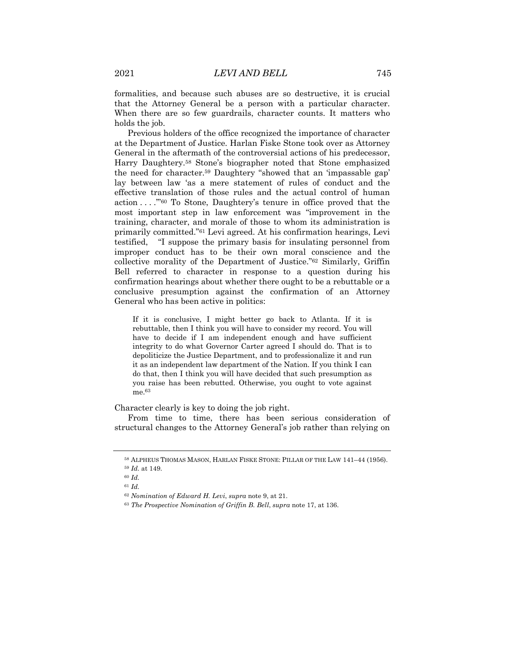formalities, and because such abuses are so destructive, it is crucial that the Attorney General be a person with a particular character. When there are so few guardrails, character counts. It matters who holds the job.

Previous holders of the office recognized the importance of character at the Department of Justice. Harlan Fiske Stone took over as Attorney General in the aftermath of the controversial actions of his predecessor, Harry Daughtery.58 Stone's biographer noted that Stone emphasized the need for character.59 Daughtery "showed that an 'impassable gap' lay between law 'as a mere statement of rules of conduct and the effective translation of those rules and the actual control of human action . . . .'"60 To Stone, Daughtery's tenure in office proved that the most important step in law enforcement was "improvement in the training, character, and morale of those to whom its administration is primarily committed."61 Levi agreed. At his confirmation hearings, Levi testified, "I suppose the primary basis for insulating personnel from improper conduct has to be their own moral conscience and the collective morality of the Department of Justice."62 Similarly, Griffin Bell referred to character in response to a question during his confirmation hearings about whether there ought to be a rebuttable or a conclusive presumption against the confirmation of an Attorney General who has been active in politics:

If it is conclusive, I might better go back to Atlanta. If it is rebuttable, then I think you will have to consider my record. You will have to decide if I am independent enough and have sufficient integrity to do what Governor Carter agreed I should do. That is to depoliticize the Justice Department, and to professionalize it and run it as an independent law department of the Nation. If you think I can do that, then I think you will have decided that such presumption as you raise has been rebutted. Otherwise, you ought to vote against me.63

Character clearly is key to doing the job right.

From time to time, there has been serious consideration of structural changes to the Attorney General's job rather than relying on

<sup>58</sup> ALPHEUS THOMAS MASON, HARLAN FISKE STONE: PILLAR OF THE LAW 141–44 (1956). <sup>59</sup> *Id.* at 149.

<sup>60</sup> *Id.*

<sup>61</sup> *Id.*

<sup>62</sup> *Nomination of Edward H. Levi*, *supra* note 9, at 21.

<sup>63</sup> *The Prospective Nomination of Griffin B. Bell*, *supra* note 17, at 136.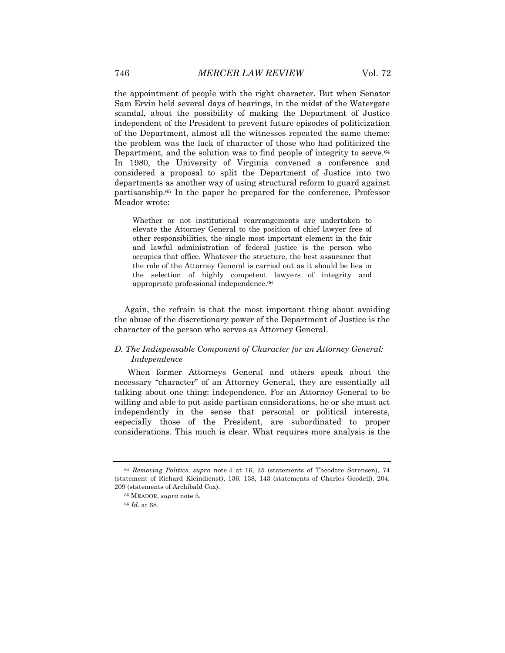the appointment of people with the right character. But when Senator Sam Ervin held several days of hearings, in the midst of the Watergate scandal, about the possibility of making the Department of Justice independent of the President to prevent future episodes of politicization of the Department, almost all the witnesses repeated the same theme: the problem was the lack of character of those who had politicized the Department, and the solution was to find people of integrity to serve.<sup>64</sup> In 1980, the University of Virginia convened a conference and considered a proposal to split the Department of Justice into two departments as another way of using structural reform to guard against partisanship.65 In the paper he prepared for the conference, Professor Meador wrote:

Whether or not institutional rearrangements are undertaken to elevate the Attorney General to the position of chief lawyer free of other responsibilities, the single most important element in the fair and lawful administration of federal justice is the person who occupies that office. Whatever the structure, the best assurance that the role of the Attorney General is carried out as it should be lies in the selection of highly competent lawyers of integrity and appropriate professional independence.66

Again, the refrain is that the most important thing about avoiding the abuse of the discretionary power of the Department of Justice is the character of the person who serves as Attorney General.

## *D. The Indispensable Component of Character for an Attorney General: Independence*

When former Attorneys General and others speak about the necessary "character" of an Attorney General, they are essentially all talking about one thing: independence. For an Attorney General to be willing and able to put aside partisan considerations, he or she must act independently in the sense that personal or political interests, especially those of the President, are subordinated to proper considerations. This much is clear. What requires more analysis is the

<sup>64</sup> *Removing Politics*, *supra* note 4 at 16, 25 (statements of Theodore Sorensen), 74 (statement of Richard Kleindienst), 136, 138, 143 (statements of Charles Goodell), 204, 209 (statements of Archibald Cox).

<sup>65</sup> MEADOR, *supra* note 5.

<sup>66</sup> *Id.* at 68.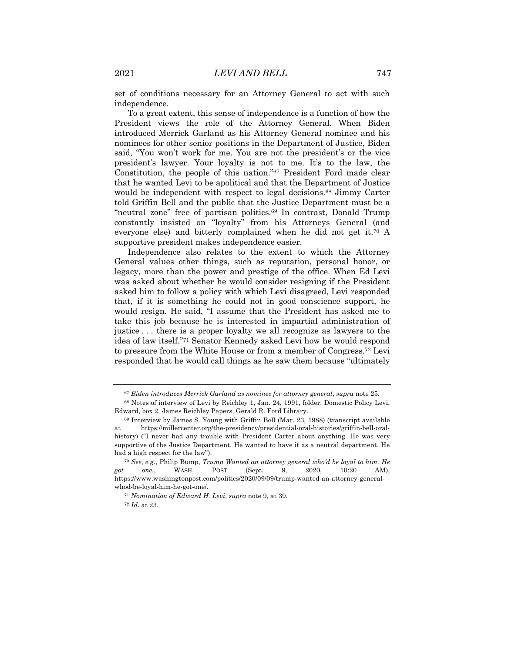set of conditions necessary for an Attorney General to act with such independence.

To a great extent, this sense of independence is a function of how the President views the role of the Attorney General. When Biden introduced Merrick Garland as his Attorney General nominee and his nominees for other senior positions in the Department of Justice, Biden said, "You won't work for me. You are not the president's or the vice president's lawyer. Your loyalty is not to me. It's to the law, the Constitution, the people of this nation."67 President Ford made clear that he wanted Levi to be apolitical and that the Department of Justice would be independent with respect to legal decisions.<sup>68</sup> Jimmy Carter told Griffin Bell and the public that the Justice Department must be a "neutral zone" free of partisan politics.<sup>69</sup> In contrast, Donald Trump constantly insisted on "loyalty" from his Attorneys General (and everyone else) and bitterly complained when he did not get it.70 A supportive president makes independence easier.

Independence also relates to the extent to which the Attorney General values other things, such as reputation, personal honor, or legacy, more than the power and prestige of the office. When Ed Levi was asked about whether he would consider resigning if the President asked him to follow a policy with which Levi disagreed, Levi responded that, if it is something he could not in good conscience support, he would resign. He said, "I assume that the President has asked me to take this job because he is interested in impartial administration of justice . . . there is a proper loyalty we all recognize as lawyers to the idea of law itself."71 Senator Kennedy asked Levi how he would respond to pressure from the White House or from a member of Congress.72 Levi responded that he would call things as he saw them because "ultimately

<sup>67</sup> *Biden introduces Merrick Garland as nominee for attorney general*, *supra* note 25.

<sup>68</sup> Notes of interview of Levi by Reichley 1, Jan. 24, 1991, folder: Domestic Policy Levi, Edward, box 2, James Reichley Papers, Gerald R. Ford Library.

<sup>69</sup> Interview by James S. Young with Griffin Bell (Mar. 23, 1988) (transcript available at https://millercenter.org/the-presidency/presidential-oral-histories/griffin-bell-oralhistory) ("I never had any trouble with President Carter about anything. He was very supportive of the Justice Department. He wanted to have it as a neutral department. He had a high respect for the law").

<sup>70</sup> *See*, *e.g.*, Philip Bump, *Trump Wanted an attorney general who'd be loyal to him. He got one.*, WASH. POST (Sept. 9, 2020, 10:20 AM), https://www.washingtonpost.com/politics/2020/09/09/trump-wanted-an-attorney-generalwhod-be-loyal-him-he-got-one/.

<sup>71</sup> *Nomination of Edward H. Levi*, *supra* note 9, at 39.

<sup>72</sup> *Id.* at 23.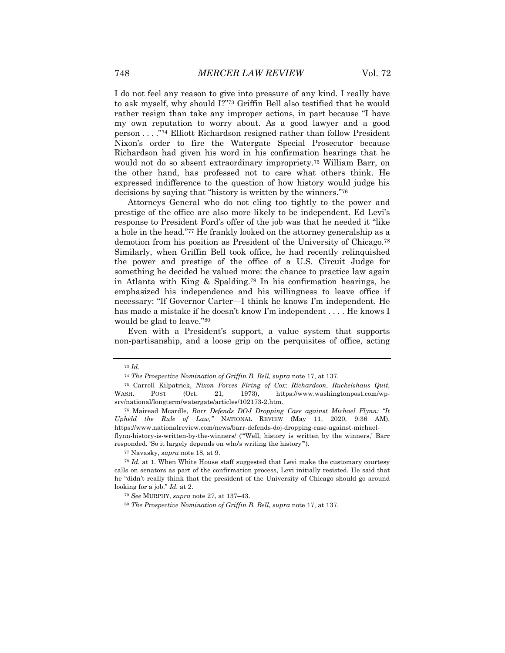I do not feel any reason to give into pressure of any kind. I really have to ask myself, why should I?"73 Griffin Bell also testified that he would rather resign than take any improper actions, in part because "I have my own reputation to worry about. As a good lawyer and a good person . . . ."74 Elliott Richardson resigned rather than follow President Nixon's order to fire the Watergate Special Prosecutor because Richardson had given his word in his confirmation hearings that he would not do so absent extraordinary impropriety.75 William Barr, on the other hand, has professed not to care what others think. He expressed indifference to the question of how history would judge his decisions by saying that "history is written by the winners."76

Attorneys General who do not cling too tightly to the power and prestige of the office are also more likely to be independent. Ed Levi's response to President Ford's offer of the job was that he needed it "like a hole in the head."77 He frankly looked on the attorney generalship as a demotion from his position as President of the University of Chicago.78 Similarly, when Griffin Bell took office, he had recently relinquished the power and prestige of the office of a U.S. Circuit Judge for something he decided he valued more: the chance to practice law again in Atlanta with King & Spalding.79 In his confirmation hearings, he emphasized his independence and his willingness to leave office if necessary: "If Governor Carter—I think he knows I'm independent. He has made a mistake if he doesn't know I'm independent . . . . He knows I would be glad to leave."80

Even with a President's support, a value system that supports non-partisanship, and a loose grip on the perquisites of office, acting

<sup>73</sup> *Id.*

<sup>74</sup> *The Prospective Nomination of Griffin B. Bell, supra* note 17, at 137.

<sup>75</sup> Carroll Kilpatrick, *Nixon Forces Firing of Cox; Richardson, Ruckelshaus Quit*, WASH. POST (Oct. 21, 1973), https://www.washingtonpost.com/wpsrv/national/longterm/watergate/articles/102173-2.htm.

<sup>76</sup> Mairead Mcardle, *Barr Defends DOJ Dropping Case against Michael Flynn: "It Upheld the Rule of Law,"* NATIONAL REVIEW (May 11, 2020, 9:36 AM), https://www.nationalreview.com/news/barr-defends-doj-dropping-case-against-michaelflynn-history-is-written-by-the-winners/ ("'Well, history is written by the winners,' Barr responded. 'So it largely depends on who's writing the history'").

<sup>77</sup> Navasky, *supra* note 18, at 9.

<sup>78</sup> *Id.* at 1. When White House staff suggested that Levi make the customary courtesy calls on senators as part of the confirmation process, Levi initially resisted. He said that he "didn't really think that the president of the University of Chicago should go around looking for a job." *Id.* at 2.

<sup>79</sup> *See* MURPHY, *supra* note 27, at 137–43.

<sup>80</sup> *The Prospective Nomination of Griffin B. Bell, supra* note 17, at 137.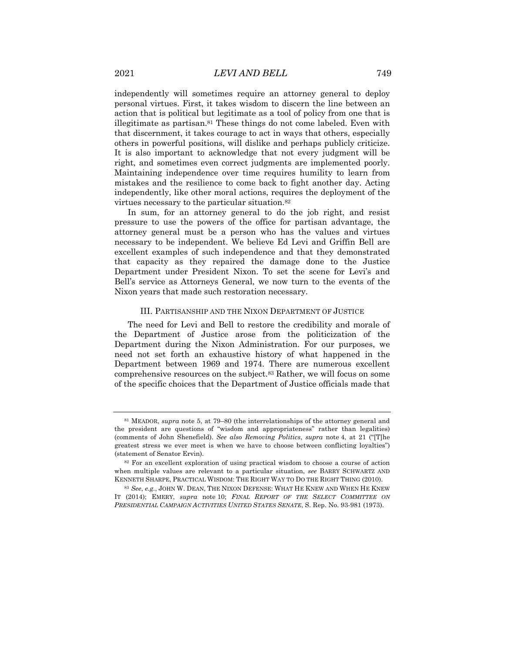independently will sometimes require an attorney general to deploy personal virtues. First, it takes wisdom to discern the line between an action that is political but legitimate as a tool of policy from one that is illegitimate as partisan.<sup>81</sup> These things do not come labeled. Even with that discernment, it takes courage to act in ways that others, especially others in powerful positions, will dislike and perhaps publicly criticize. It is also important to acknowledge that not every judgment will be right, and sometimes even correct judgments are implemented poorly. Maintaining independence over time requires humility to learn from mistakes and the resilience to come back to fight another day. Acting independently, like other moral actions, requires the deployment of the virtues necessary to the particular situation.82

In sum, for an attorney general to do the job right, and resist pressure to use the powers of the office for partisan advantage, the attorney general must be a person who has the values and virtues necessary to be independent. We believe Ed Levi and Griffin Bell are excellent examples of such independence and that they demonstrated that capacity as they repaired the damage done to the Justice Department under President Nixon. To set the scene for Levi's and Bell's service as Attorneys General, we now turn to the events of the Nixon years that made such restoration necessary.

#### III. PARTISANSHIP AND THE NIXON DEPARTMENT OF JUSTICE

The need for Levi and Bell to restore the credibility and morale of the Department of Justice arose from the politicization of the Department during the Nixon Administration. For our purposes, we need not set forth an exhaustive history of what happened in the Department between 1969 and 1974. There are numerous excellent comprehensive resources on the subject.83 Rather, we will focus on some of the specific choices that the Department of Justice officials made that

<sup>81</sup> MEADOR, *supra* note 5, at 79–80 (the interrelationships of the attorney general and the president are questions of "wisdom and appropriateness" rather than legalities) (comments of John Shenefield). *See also Removing Politics*, *supra* note 4, at 21 ("[T]he greatest stress we ever meet is when we have to choose between conflicting loyalties") (statement of Senator Ervin).

<sup>82</sup> For an excellent exploration of using practical wisdom to choose a course of action when multiple values are relevant to a particular situation, *see* BARRY SCHWARTZ AND KENNETH SHARPE, PRACTICAL WISDOM: THE RIGHT WAY TO DO THE RIGHT THING (2010).

<sup>83</sup> *See*, *e.g.*, JOHN W. DEAN, THE NIXON DEFENSE: WHAT HE KNEW AND WHEN HE KNEW IT (2014); EMERY, *supra* note 10; *FINAL REPORT OF THE SELECT COMMITTEE ON PRESIDENTIAL CAMPAIGN ACTIVITIES UNITED STATES SENATE*, S. Rep. No. 93-981 (1973).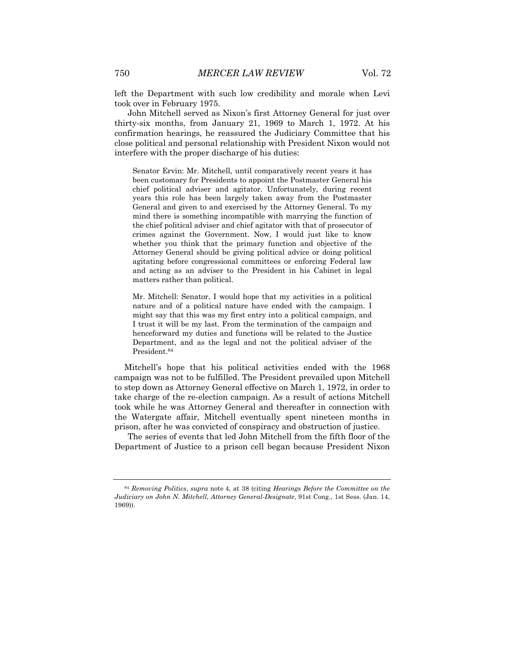left the Department with such low credibility and morale when Levi took over in February 1975.

John Mitchell served as Nixon's first Attorney General for just over thirty-six months, from January 21, 1969 to March 1, 1972. At his confirmation hearings, he reassured the Judiciary Committee that his close political and personal relationship with President Nixon would not interfere with the proper discharge of his duties:

Senator Ervin: Mr. Mitchell, until comparatively recent years it has been customary for Presidents to appoint the Postmaster General his chief political adviser and agitator. Unfortunately, during recent years this role has been largely taken away from the Postmaster General and given to and exercised by the Attorney General. To my mind there is something incompatible with marrying the function of the chief political adviser and chief agitator with that of prosecutor of crimes against the Government. Now, I would just like to know whether you think that the primary function and objective of the Attorney General should be giving political advice or doing political agitating before congressional committees or enforcing Federal law and acting as an adviser to the President in his Cabinet in legal matters rather than political.

Mr. Mitchell: Senator, I would hope that my activities in a political nature and of a political nature have ended with the campaign. I might say that this was my first entry into a political campaign, and I trust it will be my last. From the termination of the campaign and henceforward my duties and functions will be related to the Justice Department, and as the legal and not the political adviser of the President.84

Mitchell's hope that his political activities ended with the 1968 campaign was not to be fulfilled. The President prevailed upon Mitchell to step down as Attorney General effective on March 1, 1972, in order to take charge of the re-election campaign. As a result of actions Mitchell took while he was Attorney General and thereafter in connection with the Watergate affair, Mitchell eventually spent nineteen months in prison, after he was convicted of conspiracy and obstruction of justice.

The series of events that led John Mitchell from the fifth floor of the Department of Justice to a prison cell began because President Nixon

<sup>84</sup> *Removing Politics*, *supra* note 4, at 38 (citing *Hearings Before the Committee on the Judiciary on John N. Mitchell, Attorney General-Designate*, 91st Cong., 1st Sess. (Jan. 14, 1969)).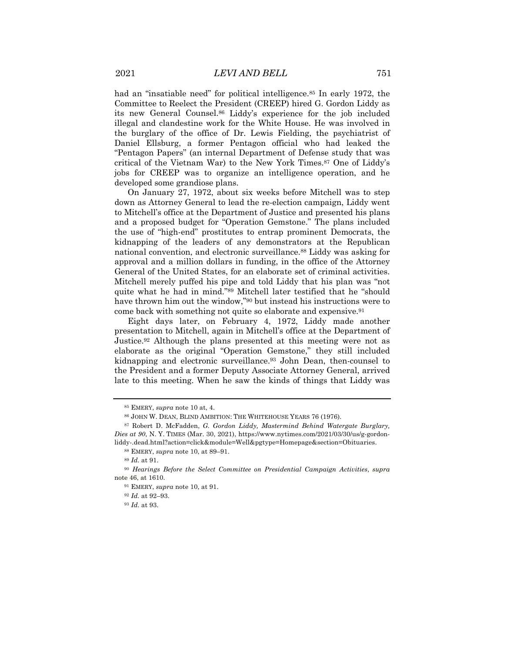had an "insatiable need" for political intelligence.<sup>85</sup> In early 1972, the Committee to Reelect the President (CREEP) hired G. Gordon Liddy as its new General Counsel.86 Liddy's experience for the job included illegal and clandestine work for the White House. He was involved in the burglary of the office of Dr. Lewis Fielding, the psychiatrist of Daniel Ellsburg, a former Pentagon official who had leaked the "Pentagon Papers" (an internal Department of Defense study that was critical of the Vietnam War) to the New York Times.87 One of Liddy's jobs for CREEP was to organize an intelligence operation, and he developed some grandiose plans.

On January 27, 1972, about six weeks before Mitchell was to step down as Attorney General to lead the re-election campaign, Liddy went to Mitchell's office at the Department of Justice and presented his plans and a proposed budget for "Operation Gemstone." The plans included the use of "high-end" prostitutes to entrap prominent Democrats, the kidnapping of the leaders of any demonstrators at the Republican national convention, and electronic surveillance.88 Liddy was asking for approval and a million dollars in funding, in the office of the Attorney General of the United States, for an elaborate set of criminal activities. Mitchell merely puffed his pipe and told Liddy that his plan was "not quite what he had in mind."89 Mitchell later testified that he "should have thrown him out the window,"90 but instead his instructions were to come back with something not quite so elaborate and expensive.91

Eight days later, on February 4, 1972, Liddy made another presentation to Mitchell, again in Mitchell's office at the Department of Justice.92 Although the plans presented at this meeting were not as elaborate as the original "Operation Gemstone," they still included kidnapping and electronic surveillance.93 John Dean, then-counsel to the President and a former Deputy Associate Attorney General, arrived late to this meeting. When he saw the kinds of things that Liddy was

<sup>85</sup> EMERY, *supra* note 10 at, 4.

 $^{86}$  JOHN W. DEAN, BLIND AMBITION: THE WHITEHOUSE YEARS 76 (1976).

<sup>87</sup> Robert D. McFadden, *G. Gordon Liddy, Mastermind Behind Watergate Burglary, Dies at 90*, N. Y. TIMES (Mar. 30, 2021), https://www.nytimes.com/2021/03/30/us/g-gordonliddy-.dead.html?action=click&module=Well&pgtype=Homepage&section=Obituaries.

<sup>88</sup> EMERY, *supra* note 10, at 89–91.

<sup>89</sup> *Id.* at 91.

<sup>90</sup> *Hearings Before the Select Committee on Presidential Campaign Activities*, *supra*  note 46, at 1610.

<sup>91</sup> EMERY, *supra* note 10, at 91.

<sup>92</sup> *Id.* at 92–93.

<sup>93</sup> *Id.* at 93.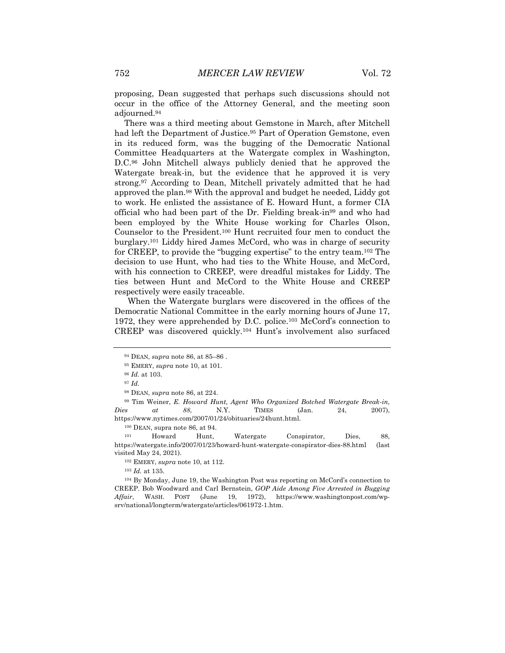proposing, Dean suggested that perhaps such discussions should not occur in the office of the Attorney General, and the meeting soon adjourned.94

There was a third meeting about Gemstone in March, after Mitchell had left the Department of Justice.<sup>95</sup> Part of Operation Gemstone, even in its reduced form, was the bugging of the Democratic National Committee Headquarters at the Watergate complex in Washington, D.C.96 John Mitchell always publicly denied that he approved the Watergate break-in, but the evidence that he approved it is very strong.97 According to Dean, Mitchell privately admitted that he had approved the plan.98 With the approval and budget he needed, Liddy got to work. He enlisted the assistance of E. Howard Hunt, a former CIA official who had been part of the Dr. Fielding break-in99 and who had been employed by the White House working for Charles Olson, Counselor to the President.100 Hunt recruited four men to conduct the burglary.101 Liddy hired James McCord, who was in charge of security for CREEP, to provide the "bugging expertise" to the entry team.102 The decision to use Hunt, who had ties to the White House, and McCord, with his connection to CREEP, were dreadful mistakes for Liddy. The ties between Hunt and McCord to the White House and CREEP respectively were easily traceable.

When the Watergate burglars were discovered in the offices of the Democratic National Committee in the early morning hours of June 17, 1972, they were apprehended by D.C. police.103 McCord's connection to CREEP was discovered quickly.104 Hunt's involvement also surfaced

100 DEAN, supra note 86, at 94.

<sup>101</sup> Howard Hunt, Watergate Conspirator, Dies, 88, https://watergate.info/2007/01/23/howard-hunt-watergate-conspirator-dies-88.html (last visited May 24, 2021).

102 EMERY, *supra* note 10, at 112.

<sup>103</sup> *Id.* at 135.

<sup>104</sup> By Monday, June 19, the Washington Post was reporting on McCord's connection to CREEP. Bob Woodward and Carl Bernstein, *GOP Aide Among Five Arrested in Bugging Affair*, WASH. POST (June 19, 1972), https://www.washingtonpost.com/wpsrv/national/longterm/watergate/articles/061972-1.htm.

<sup>94</sup> DEAN, *supra* note 86, at 85–86 .

<sup>95</sup> EMERY, *supra* note 10, at 101.

<sup>96</sup> *Id.* at 103.

<sup>97</sup> *Id.*

<sup>98</sup> DEAN, *supra* note 86, at 224.

<sup>99</sup> Tim Weiner, *E. Howard Hunt, Agent Who Organized Botched Watergate Break-in, Dies at 88*, N.Y. TIMES (Jan. 24, 2007), https://www.nytimes.com/2007/01/24/obituaries/24hunt.html.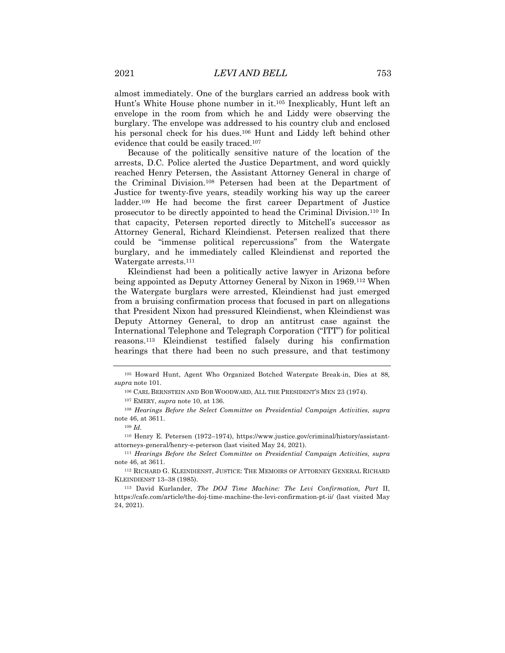almost immediately. One of the burglars carried an address book with Hunt's White House phone number in it.105 Inexplicably, Hunt left an envelope in the room from which he and Liddy were observing the burglary. The envelope was addressed to his country club and enclosed his personal check for his dues.106 Hunt and Liddy left behind other evidence that could be easily traced.107

Because of the politically sensitive nature of the location of the arrests, D.C. Police alerted the Justice Department, and word quickly reached Henry Petersen, the Assistant Attorney General in charge of the Criminal Division.108 Petersen had been at the Department of Justice for twenty-five years, steadily working his way up the career ladder.109 He had become the first career Department of Justice prosecutor to be directly appointed to head the Criminal Division.110 In that capacity, Petersen reported directly to Mitchell's successor as Attorney General, Richard Kleindienst. Petersen realized that there could be "immense political repercussions" from the Watergate burglary, and he immediately called Kleindienst and reported the Watergate arrests.111

Kleindienst had been a politically active lawyer in Arizona before being appointed as Deputy Attorney General by Nixon in 1969.112 When the Watergate burglars were arrested, Kleindienst had just emerged from a bruising confirmation process that focused in part on allegations that President Nixon had pressured Kleindienst, when Kleindienst was Deputy Attorney General, to drop an antitrust case against the International Telephone and Telegraph Corporation ("ITT") for political reasons.113 Kleindienst testified falsely during his confirmation hearings that there had been no such pressure, and that testimony

<sup>105</sup> Howard Hunt, Agent Who Organized Botched Watergate Break-in, Dies at 88*, supra* note 101.

<sup>106</sup> CARL BERNSTEIN AND BOB WOODWARD, ALL THE PRESIDENT'S MEN 23 (1974).

<sup>107</sup> EMERY, *supra* note 10, at 136.

<sup>108</sup> *Hearings Before the Select Committee on Presidential Campaign Activities, supra*  note 46, at 3611.

<sup>109</sup> *Id.*

<sup>110</sup> Henry E. Petersen (1972–1974), https://www.justice.gov/criminal/history/assistantattorneys-general/henry-e-peterson (last visited May 24, 2021).

<sup>111</sup> *Hearings Before the Select Committee on Presidential Campaign Activities, supra*  note 46, at 3611.

<sup>112</sup> RICHARD G. KLEINDIENST, JUSTICE: THE MEMOIRS OF ATTORNEY GENERAL RICHARD KLEINDIENST 13–38 (1985).

<sup>113</sup> David Kurlander, *The DOJ Time Machine: The Levi Confirmation, Part* II, https://cafe.com/article/the-doj-time-machine-the-levi-confirmation-pt-ii/ (last visited May 24, 2021).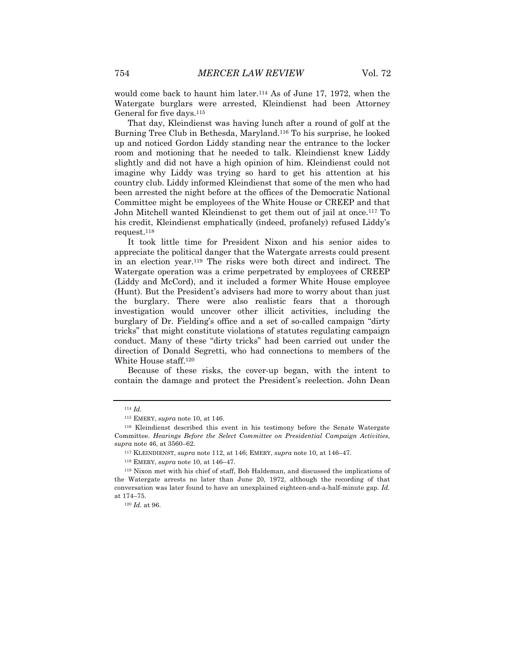would come back to haunt him later.114 As of June 17, 1972, when the Watergate burglars were arrested, Kleindienst had been Attorney General for five days.115

That day, Kleindienst was having lunch after a round of golf at the Burning Tree Club in Bethesda, Maryland.116 To his surprise, he looked up and noticed Gordon Liddy standing near the entrance to the locker room and motioning that he needed to talk. Kleindienst knew Liddy slightly and did not have a high opinion of him. Kleindienst could not imagine why Liddy was trying so hard to get his attention at his country club. Liddy informed Kleindienst that some of the men who had been arrested the night before at the offices of the Democratic National Committee might be employees of the White House or CREEP and that John Mitchell wanted Kleindienst to get them out of jail at once.117 To his credit, Kleindienst emphatically (indeed, profanely) refused Liddy's request.118

It took little time for President Nixon and his senior aides to appreciate the political danger that the Watergate arrests could present in an election year.119 The risks were both direct and indirect. The Watergate operation was a crime perpetrated by employees of CREEP (Liddy and McCord), and it included a former White House employee (Hunt). But the President's advisers had more to worry about than just the burglary. There were also realistic fears that a thorough investigation would uncover other illicit activities, including the burglary of Dr. Fielding's office and a set of so-called campaign "dirty tricks" that might constitute violations of statutes regulating campaign conduct. Many of these "dirty tricks" had been carried out under the direction of Donald Segretti, who had connections to members of the White House staff.120

Because of these risks, the cover-up began, with the intent to contain the damage and protect the President's reelection. John Dean

<sup>114</sup> *Id.*

<sup>115</sup> EMERY, *supra* note 10, at 146.

<sup>116</sup> Kleindienst described this event in his testimony before the Senate Watergate Committee. *Hearings Before the Select Committee on Presidential Campaign Activities*, *supra* note 46, at 3560–62.

<sup>117</sup> KLEINDIENST, *supra* note 112, at 146; EMERY, *supra* note 10, at 146–47.

<sup>118</sup> EMERY, *supra* note 10, at 146–47.

<sup>119</sup> Nixon met with his chief of staff, Bob Haldeman, and discussed the implications of the Watergate arrests no later than June 20, 1972, although the recording of that conversation was later found to have an unexplained eighteen-and-a-half-minute gap. *Id.* at 174–75.

<sup>120</sup> *Id.* at 96.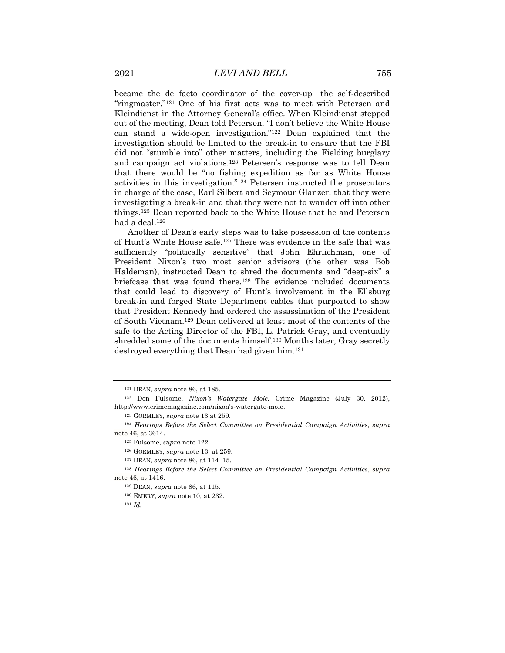became the de facto coordinator of the cover-up—the self-described "ringmaster."121 One of his first acts was to meet with Petersen and Kleindienst in the Attorney General's office. When Kleindienst stepped out of the meeting, Dean told Petersen, "I don't believe the White House can stand a wide-open investigation."122 Dean explained that the investigation should be limited to the break-in to ensure that the FBI did not "stumble into" other matters, including the Fielding burglary and campaign act violations.123 Petersen's response was to tell Dean that there would be "no fishing expedition as far as White House activities in this investigation."124 Petersen instructed the prosecutors in charge of the case, Earl Silbert and Seymour Glanzer, that they were investigating a break-in and that they were not to wander off into other things.125 Dean reported back to the White House that he and Petersen had a deal.126

Another of Dean's early steps was to take possession of the contents of Hunt's White House safe.127 There was evidence in the safe that was sufficiently "politically sensitive" that John Ehrlichman, one of President Nixon's two most senior advisors (the other was Bob Haldeman), instructed Dean to shred the documents and "deep-six" a briefcase that was found there.128 The evidence included documents that could lead to discovery of Hunt's involvement in the Ellsburg break-in and forged State Department cables that purported to show that President Kennedy had ordered the assassination of the President of South Vietnam.129 Dean delivered at least most of the contents of the safe to the Acting Director of the FBI, L. Patrick Gray, and eventually shredded some of the documents himself.130 Months later, Gray secretly destroyed everything that Dean had given him.131

<sup>121</sup> DEAN, *supra* note 86, at 185.

<sup>122</sup> Don Fulsome, *Nixon's Watergate Mole,* Crime Magazine (July 30, 2012), http://www.crimemagazine.com/nixon's-watergate-mole.

<sup>123</sup> GORMLEY, *supra* note 13 at 259.

<sup>124</sup> *Hearings Before the Select Committee on Presidential Campaign Activities*, *supra*  note 46, at 3614.

<sup>125</sup> Fulsome, *supra* note 122.

<sup>126</sup> GORMLEY, *supra* note 13, at 259.

<sup>127</sup> DEAN, *supra* note 86, at 114–15.

<sup>128</sup> *Hearings Before the Select Committee on Presidential Campaign Activities*, *supra*  note 46, at 1416.

<sup>129</sup> DEAN, *supra* note 86, at 115.

<sup>130</sup> EMERY, *supra* note 10, at 232.

<sup>131</sup> *Id.*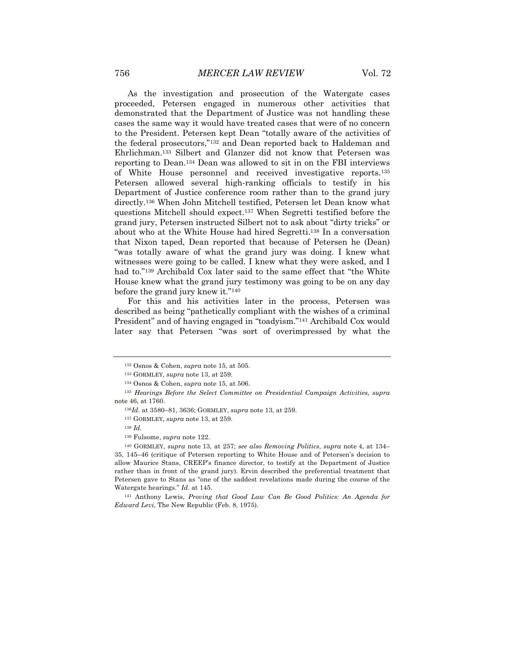As the investigation and prosecution of the Watergate cases proceeded, Petersen engaged in numerous other activities that demonstrated that the Department of Justice was not handling these cases the same way it would have treated cases that were of no concern to the President. Petersen kept Dean "totally aware of the activities of the federal prosecutors,"132 and Dean reported back to Haldeman and Ehrlichman.133 Silbert and Glanzer did not know that Petersen was reporting to Dean.134 Dean was allowed to sit in on the FBI interviews of White House personnel and received investigative reports.135 Petersen allowed several high-ranking officials to testify in his Department of Justice conference room rather than to the grand jury directly.136 When John Mitchell testified, Petersen let Dean know what questions Mitchell should expect.137 When Segretti testified before the grand jury, Petersen instructed Silbert not to ask about "dirty tricks" or about who at the White House had hired Segretti.138 In a conversation that Nixon taped, Dean reported that because of Petersen he (Dean) "was totally aware of what the grand jury was doing. I knew what witnesses were going to be called. I knew what they were asked, and I had to."139 Archibald Cox later said to the same effect that "the White House knew what the grand jury testimony was going to be on any day before the grand jury knew it."140

For this and his activities later in the process, Petersen was described as being "pathetically compliant with the wishes of a criminal President" and of having engaged in "toadyism."141 Archibald Cox would later say that Petersen "was sort of overimpressed by what the

<sup>141</sup> Anthony Lewis, *Proving that Good Law Can Be Good Politics: An Agenda for Edward Levi*, The New Republic (Feb. 8, 1975).

<sup>132</sup> Osnos & Cohen, *supra* note 15, at 505.

<sup>133</sup> GORMLEY, *supra* note 13, at 259.

<sup>134</sup> Osnos & Cohen, *supra* note 15, at 506.

<sup>135</sup> *Hearings Before the Select Committee on Presidential Campaign Activities, supra*  note 46, at 1760.

<sup>136</sup>*Id.* at 3580–81, 3636; GORMLEY, *supra* note 13, at 259.

<sup>137</sup> GORMLEY, *supra* note 13, at 259.

<sup>138</sup> *Id.*

<sup>139</sup> Fulsome, *supra* note 122.

<sup>140</sup> GORMLEY, *supra* note 13, at 257; *see also Removing Politics*, *supra* note 4, at 134– 35, 145–46 (critique of Petersen reporting to White House and of Petersen's decision to allow Maurice Stans, CREEP's finance director, to testify at the Department of Justice rather than in front of the grand jury). Ervin described the preferential treatment that Petersen gave to Stans as "one of the saddest revelations made during the course of the Watergate hearings." *Id.* at 145.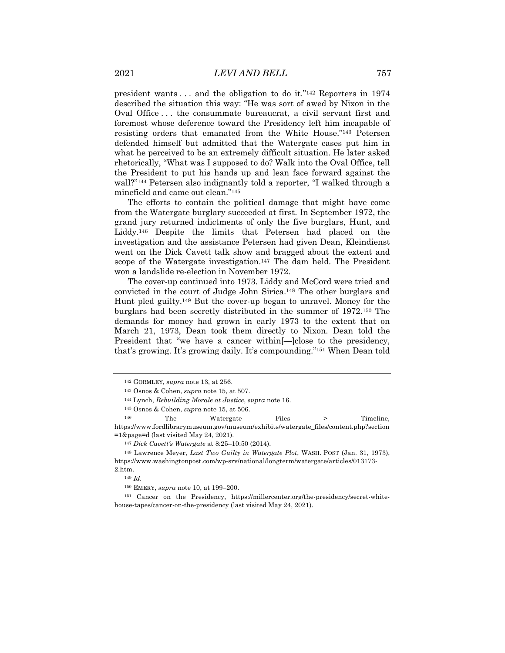president wants . . . and the obligation to do it."142 Reporters in 1974 described the situation this way: "He was sort of awed by Nixon in the Oval Office . . . the consummate bureaucrat, a civil servant first and foremost whose deference toward the Presidency left him incapable of resisting orders that emanated from the White House."143 Petersen defended himself but admitted that the Watergate cases put him in what he perceived to be an extremely difficult situation. He later asked rhetorically, "What was I supposed to do? Walk into the Oval Office, tell the President to put his hands up and lean face forward against the wall?"144 Petersen also indignantly told a reporter, "I walked through a minefield and came out clean."145

The efforts to contain the political damage that might have come from the Watergate burglary succeeded at first. In September 1972, the grand jury returned indictments of only the five burglars, Hunt, and Liddy.146 Despite the limits that Petersen had placed on the investigation and the assistance Petersen had given Dean, Kleindienst went on the Dick Cavett talk show and bragged about the extent and scope of the Watergate investigation.<sup>147</sup> The dam held. The President won a landslide re-election in November 1972.

The cover-up continued into 1973. Liddy and McCord were tried and convicted in the court of Judge John Sirica.148 The other burglars and Hunt pled guilty.149 But the cover-up began to unravel. Money for the burglars had been secretly distributed in the summer of 1972.150 The demands for money had grown in early 1973 to the extent that on March 21, 1973, Dean took them directly to Nixon. Dean told the President that "we have a cancer within[—]close to the presidency, that's growing. It's growing daily. It's compounding."151 When Dean told

<sup>142</sup> GORMLEY, *supra* note 13, at 256.

<sup>143</sup> Osnos & Cohen, *supra* note 15, at 507.

<sup>144</sup> Lynch, *Rebuilding Morale at Justice*, *supra* note 16.

<sup>145</sup> Osnos & Cohen, *supra* note 15, at 506.

<sup>&</sup>lt;sup>146</sup> The Watergate Files > Timeline, https://www.fordlibrarymuseum.gov/museum/exhibits/watergate\_files/content.php?section =1&page=d (last visited May 24, 2021).

<sup>147</sup> *Dick Cavett's Watergate* at 8:25–10:50 (2014).

<sup>148</sup> Lawrence Meyer, *Last Two Guilty in Watergate Plot*, WASH. POST (Jan. 31, 1973), https://www.washingtonpost.com/wp-srv/national/longterm/watergate/articles/013173- 2.htm.

<sup>149</sup> *Id.*

<sup>150</sup> EMERY, *supra* note 10, at 199–200.

<sup>151</sup> Cancer on the Presidency, https://millercenter.org/the-presidency/secret-whitehouse-tapes/cancer-on-the-presidency (last visited May 24, 2021).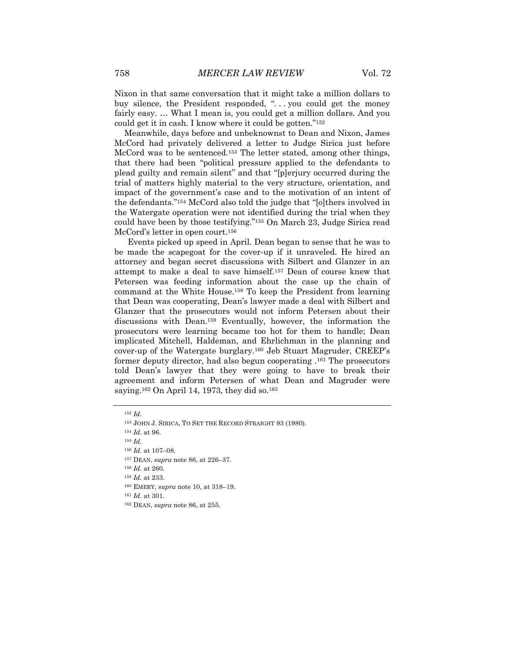Nixon in that same conversation that it might take a million dollars to buy silence, the President responded, "... you could get the money fairly easy. … What I mean is, you could get a million dollars. And you could get it in cash. I know where it could be gotten."152

Meanwhile, days before and unbeknownst to Dean and Nixon, James McCord had privately delivered a letter to Judge Sirica just before McCord was to be sentenced.153 The letter stated, among other things, that there had been "political pressure applied to the defendants to plead guilty and remain silent" and that "[p]erjury occurred during the trial of matters highly material to the very structure, orientation, and impact of the government's case and to the motivation of an intent of the defendants."154 McCord also told the judge that "[o]thers involved in the Watergate operation were not identified during the trial when they could have been by those testifying."155 On March 23, Judge Sirica read McCord's letter in open court.<sup>156</sup>

Events picked up speed in April. Dean began to sense that he was to be made the scapegoat for the cover-up if it unraveled. He hired an attorney and began secret discussions with Silbert and Glanzer in an attempt to make a deal to save himself.157 Dean of course knew that Petersen was feeding information about the case up the chain of command at the White House.158 To keep the President from learning that Dean was cooperating, Dean's lawyer made a deal with Silbert and Glanzer that the prosecutors would not inform Petersen about their discussions with Dean.159 Eventually, however, the information the prosecutors were learning became too hot for them to handle; Dean implicated Mitchell, Haldeman, and Ehrlichman in the planning and cover-up of the Watergate burglary.160 Jeb Stuart Magruder, CREEP's former deputy director, had also begun cooperating .161 The prosecutors told Dean's lawyer that they were going to have to break their agreement and inform Petersen of what Dean and Magruder were saying.162 On April 14, 1973, they did so.163

<sup>154</sup> *Id.* at 96.

<sup>155</sup> *Id.*

<sup>152</sup> *Id.*

<sup>153</sup> JOHN J. SIRICA, TO SET THE RECORD STRAIGHT 93 (1980).

<sup>156</sup> *Id.* at 107–08.

<sup>157</sup> DEAN, *supra* note 86, at 226–37.

<sup>158</sup> *Id.* at 260.

<sup>159</sup> *Id.* at 233.

<sup>160</sup> EMERY, *supra* note 10, at 318–19.

<sup>161</sup> *Id.* at 301.

<sup>162</sup> DEAN, *supra* note 86, at 255.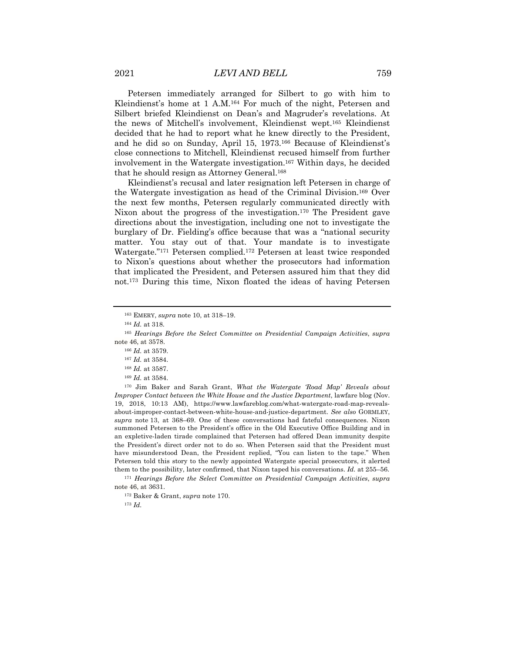Petersen immediately arranged for Silbert to go with him to Kleindienst's home at 1 A.M.164 For much of the night, Petersen and Silbert briefed Kleindienst on Dean's and Magruder's revelations. At the news of Mitchell's involvement, Kleindienst wept.165 Kleindienst decided that he had to report what he knew directly to the President, and he did so on Sunday, April 15, 1973.166 Because of Kleindienst's close connections to Mitchell, Kleindienst recused himself from further involvement in the Watergate investigation.167 Within days, he decided that he should resign as Attorney General.168

Kleindienst's recusal and later resignation left Petersen in charge of the Watergate investigation as head of the Criminal Division.169 Over the next few months, Petersen regularly communicated directly with Nixon about the progress of the investigation.170 The President gave directions about the investigation, including one not to investigate the burglary of Dr. Fielding's office because that was a "national security matter. You stay out of that. Your mandate is to investigate Watergate."171 Petersen complied.172 Petersen at least twice responded to Nixon's questions about whether the prosecutors had information that implicated the President, and Petersen assured him that they did not.173 During this time, Nixon floated the ideas of having Petersen

<sup>170</sup> Jim Baker and Sarah Grant, *What the Watergate 'Road Map' Reveals about Improper Contact between the White House and the Justice Department*, lawfare blog (Nov. 19, 2018, 10:13 AM), https://www.lawfareblog.com/what-watergate-road-map-revealsabout-improper-contact-between-white-house-and-justice-department. *See also* GORMLEY, *supra* note 13, at 368–69. One of these conversations had fateful consequences. Nixon summoned Petersen to the President's office in the Old Executive Office Building and in an expletive-laden tirade complained that Petersen had offered Dean immunity despite the President's direct order not to do so. When Petersen said that the President must have misunderstood Dean, the President replied, "You can listen to the tape." When Petersen told this story to the newly appointed Watergate special prosecutors, it alerted them to the possibility, later confirmed, that Nixon taped his conversations. *Id.* at 255–56.

<sup>171</sup> *Hearings Before the Select Committee on Presidential Campaign Activities*, *supra*  note 46, at 3631.

<sup>172</sup> Baker & Grant, *supra* note 170.

<sup>173</sup> *Id.*

<sup>163</sup> EMERY, *supra* note 10, at 318–19.

<sup>164</sup> *Id.* at 318.

<sup>165</sup> *Hearings Before the Select Committee on Presidential Campaign Activities*, *supra*  note 46, at 3578.

<sup>166</sup> *Id.* at 3579.

<sup>167</sup> *Id.* at 3584.

<sup>168</sup> *Id.* at 3587.

<sup>169</sup> *Id.* at 3584.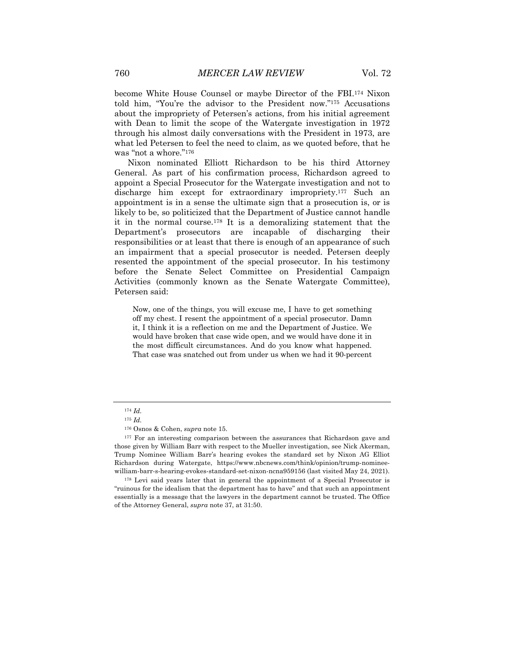become White House Counsel or maybe Director of the FBI.174 Nixon told him, "You're the advisor to the President now."175 Accusations about the impropriety of Petersen's actions, from his initial agreement with Dean to limit the scope of the Watergate investigation in 1972 through his almost daily conversations with the President in 1973, are what led Petersen to feel the need to claim, as we quoted before, that he was "not a whore."176

Nixon nominated Elliott Richardson to be his third Attorney General. As part of his confirmation process, Richardson agreed to appoint a Special Prosecutor for the Watergate investigation and not to discharge him except for extraordinary impropriety.177 Such an appointment is in a sense the ultimate sign that a prosecution is, or is likely to be, so politicized that the Department of Justice cannot handle it in the normal course.178 It is a demoralizing statement that the Department's prosecutors are incapable of discharging their responsibilities or at least that there is enough of an appearance of such an impairment that a special prosecutor is needed. Petersen deeply resented the appointment of the special prosecutor. In his testimony before the Senate Select Committee on Presidential Campaign Activities (commonly known as the Senate Watergate Committee), Petersen said:

Now, one of the things, you will excuse me, I have to get something off my chest. I resent the appointment of a special prosecutor. Damn it, I think it is a reflection on me and the Department of Justice. We would have broken that case wide open, and we would have done it in the most difficult circumstances. And do you know what happened. That case was snatched out from under us when we had it 90-percent

<sup>174</sup> *Id.* 

<sup>175</sup> *Id.*

<sup>176</sup> Osnos & Cohen, *supra* note 15.

<sup>&</sup>lt;sup>177</sup> For an interesting comparison between the assurances that Richardson gave and those given by William Barr with respect to the Mueller investigation, see Nick Akerman, Trump Nominee William Barr's hearing evokes the standard set by Nixon AG Elliot Richardson during Watergate, https://www.nbcnews.com/think/opinion/trump-nomineewilliam-barr-s-hearing-evokes-standard-set-nixon-ncna959156 (last visited May 24, 2021).

<sup>&</sup>lt;sup>178</sup> Levi said years later that in general the appointment of a Special Prosecutor is "ruinous for the idealism that the department has to have" and that such an appointment essentially is a message that the lawyers in the department cannot be trusted. The Office of the Attorney General, *supra* note 37, at 31:50.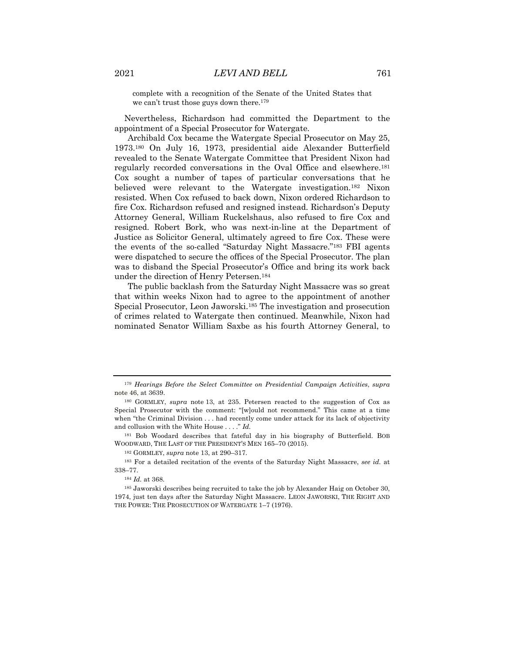complete with a recognition of the Senate of the United States that we can't trust those guys down there.<sup>179</sup>

Nevertheless, Richardson had committed the Department to the appointment of a Special Prosecutor for Watergate.

Archibald Cox became the Watergate Special Prosecutor on May 25, 1973.180 On July 16, 1973, presidential aide Alexander Butterfield revealed to the Senate Watergate Committee that President Nixon had regularly recorded conversations in the Oval Office and elsewhere.181 Cox sought a number of tapes of particular conversations that he believed were relevant to the Watergate investigation.182 Nixon resisted. When Cox refused to back down, Nixon ordered Richardson to fire Cox. Richardson refused and resigned instead. Richardson's Deputy Attorney General, William Ruckelshaus, also refused to fire Cox and resigned. Robert Bork, who was next-in-line at the Department of Justice as Solicitor General, ultimately agreed to fire Cox. These were the events of the so-called "Saturday Night Massacre."183 FBI agents were dispatched to secure the offices of the Special Prosecutor. The plan was to disband the Special Prosecutor's Office and bring its work back under the direction of Henry Petersen.184

The public backlash from the Saturday Night Massacre was so great that within weeks Nixon had to agree to the appointment of another Special Prosecutor, Leon Jaworski.185 The investigation and prosecution of crimes related to Watergate then continued. Meanwhile, Nixon had nominated Senator William Saxbe as his fourth Attorney General, to

<sup>181</sup> Bob Woodard describes that fateful day in his biography of Butterfield. BOB WOODWARD, THE LAST OF THE PRESIDENT'S MEN 165–70 (2015).

<sup>184</sup> *Id.* at 368.

<sup>179</sup> *Hearings Before the Select Committee on Presidential Campaign Activities*, *supra*  note 46, at 3639.

<sup>180</sup> GORMLEY, *supra* note 13, at 235. Petersen reacted to the suggestion of Cox as Special Prosecutor with the comment: "[w]ould not recommend." This came at a time when "the Criminal Division . . . had recently come under attack for its lack of objectivity and collusion with the White House . . . ." *Id.*

<sup>182</sup> GORMLEY, *supra* note 13, at 290–317.

<sup>183</sup> For a detailed recitation of the events of the Saturday Night Massacre, *see id.* at 338–77.

<sup>185</sup> Jaworski describes being recruited to take the job by Alexander Haig on October 30, 1974, just ten days after the Saturday Night Massacre. LEON JAWORSKI, THE RIGHT AND THE POWER: THE PROSECUTION OF WATERGATE 1–7 (1976).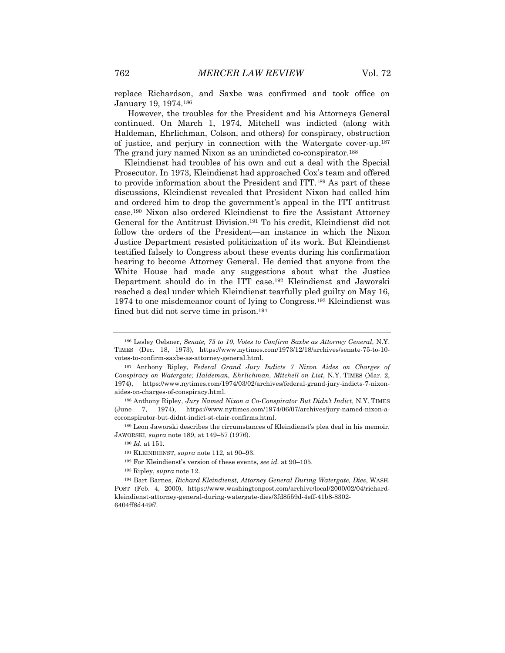replace Richardson, and Saxbe was confirmed and took office on January 19, 1974.186

However, the troubles for the President and his Attorneys General continued. On March 1, 1974, Mitchell was indicted (along with Haldeman, Ehrlichman, Colson, and others) for conspiracy, obstruction of justice, and perjury in connection with the Watergate cover-up.187 The grand jury named Nixon as an unindicted co-conspirator.188

Kleindienst had troubles of his own and cut a deal with the Special Prosecutor. In 1973, Kleindienst had approached Cox's team and offered to provide information about the President and ITT.189 As part of these discussions, Kleindienst revealed that President Nixon had called him and ordered him to drop the government's appeal in the ITT antitrust case.190 Nixon also ordered Kleindienst to fire the Assistant Attorney General for the Antitrust Division.191 To his credit, Kleindienst did not follow the orders of the President—an instance in which the Nixon Justice Department resisted politicization of its work. But Kleindienst testified falsely to Congress about these events during his confirmation hearing to become Attorney General. He denied that anyone from the White House had made any suggestions about what the Justice Department should do in the ITT case.192 Kleindienst and Jaworski reached a deal under which Kleindienst tearfully pled guilty on May 16, 1974 to one misdemeanor count of lying to Congress.193 Kleindienst was fined but did not serve time in prison.194

<sup>189</sup> Leon Jaworski describes the circumstances of Kleindienst's plea deal in his memoir. JAWORSKI, *supra* note 189, at 149–57 (1976).

<sup>190</sup> *Id.* at 151.

<sup>186</sup> Lesley Oelsner, *Senate, 75 to 10*, *Votes to Confirm Saxbe as Attorney General*, N.Y. TIMES (Dec. 18, 1973), https://www.nytimes.com/1973/12/18/archives/senate-75-to-10 votes-to-confirm-saxbe-as-attorney-general.html.

<sup>187</sup> Anthony Ripley, *Federal Grand Jury Indicts 7 Nixon Aides on Charges of Conspiracy on Watergate; Haldeman, Ehrlichman, Mitchell on List*, N.Y. TIMES (Mar. 2, 1974), https://www.nytimes.com/1974/03/02/archives/federal-grand-jury-indicts-7-nixonaides-on-charges-of-conspiracy.html.

<sup>188</sup> Anthony Ripley, *Jury Named Nixon a Co-Conspirator But Didn't Indict*, N.Y. TIMES (June 7, 1974), https://www.nytimes.com/1974/06/07/archives/jury-named-nixon-acoconspirator-but-didnt-indict-st-clair-confirms.html.

<sup>191</sup> KLEINDIENST, *supra* note 112, at 90–93.

<sup>192</sup> For Kleindienst's version of these events, *see id.* at 90–105.

<sup>193</sup> Ripley, *supra* note 12.

<sup>194</sup> Bart Barnes, *Richard Kleindienst, Attorney General During Watergate, Dies*, WASH. POST (Feb. 4, 2000), https://www.washingtonpost.com/archive/local/2000/02/04/richardkleindienst-attorney-general-during-watergate-dies/3fd8559d-4eff-41b8-8302- 6404ff8d449f/.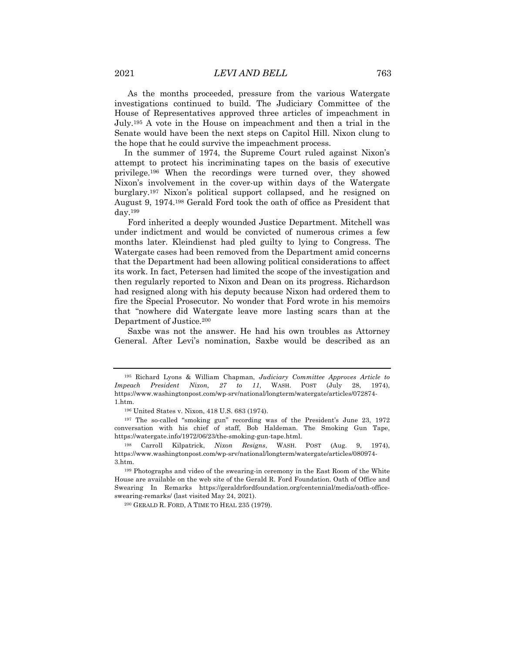As the months proceeded, pressure from the various Watergate investigations continued to build. The Judiciary Committee of the House of Representatives approved three articles of impeachment in July.195 A vote in the House on impeachment and then a trial in the Senate would have been the next steps on Capitol Hill. Nixon clung to the hope that he could survive the impeachment process.

In the summer of 1974, the Supreme Court ruled against Nixon's attempt to protect his incriminating tapes on the basis of executive privilege.196 When the recordings were turned over, they showed Nixon's involvement in the cover-up within days of the Watergate burglary.197 Nixon's political support collapsed, and he resigned on August 9, 1974.198 Gerald Ford took the oath of office as President that day.199

Ford inherited a deeply wounded Justice Department. Mitchell was under indictment and would be convicted of numerous crimes a few months later. Kleindienst had pled guilty to lying to Congress. The Watergate cases had been removed from the Department amid concerns that the Department had been allowing political considerations to affect its work. In fact, Petersen had limited the scope of the investigation and then regularly reported to Nixon and Dean on its progress. Richardson had resigned along with his deputy because Nixon had ordered them to fire the Special Prosecutor. No wonder that Ford wrote in his memoirs that "nowhere did Watergate leave more lasting scars than at the Department of Justice.200

Saxbe was not the answer. He had his own troubles as Attorney General. After Levi's nomination, Saxbe would be described as an

<sup>195</sup> Richard Lyons & William Chapman, *Judiciary Committee Approves Article to Impeach President Nixon, 27 to 11*, WASH. POST (July 28, 1974), https://www.washingtonpost.com/wp-srv/national/longterm/watergate/articles/072874- 1.htm.

<sup>196</sup> United States v. Nixon, 418 U.S. 683 (1974).

<sup>197</sup> The so-called "smoking gun" recording was of the President's June 23, 1972 conversation with his chief of staff, Bob Haldeman. The Smoking Gun Tape, https://watergate.info/1972/06/23/the-smoking-gun-tape.html.

<sup>198</sup> Carroll Kilpatrick, *Nixon Resigns*, WASH. POST (Aug. 9, 1974), https://www.washingtonpost.com/wp-srv/national/longterm/watergate/articles/080974- 3.htm.

<sup>199</sup> Photographs and video of the swearing-in ceremony in the East Room of the White House are available on the web site of the Gerald R. Ford Foundation. Oath of Office and Swearing In Remarks https://geraldrfordfoundation.org/centennial/media/oath-officeswearing-remarks/ (last visited May 24, 2021).

<sup>200</sup> GERALD R. FORD, A TIME TO HEAL 235 (1979).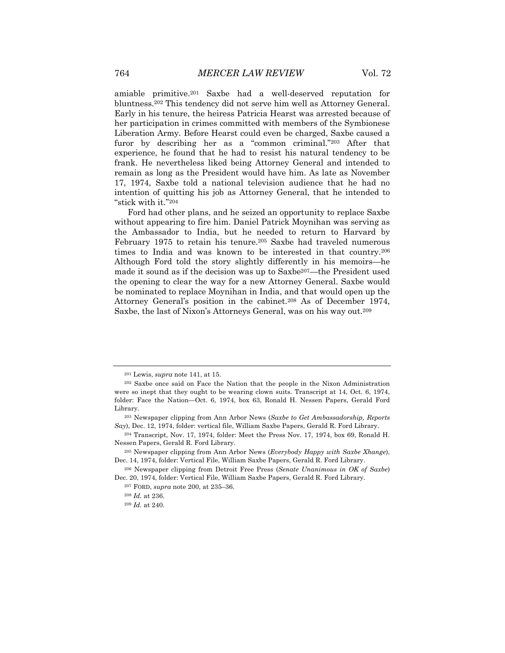amiable primitive.201 Saxbe had a well-deserved reputation for bluntness.202 This tendency did not serve him well as Attorney General. Early in his tenure, the heiress Patricia Hearst was arrested because of her participation in crimes committed with members of the Symbionese Liberation Army. Before Hearst could even be charged, Saxbe caused a furor by describing her as a "common criminal."<sup>203</sup> After that experience, he found that he had to resist his natural tendency to be frank. He nevertheless liked being Attorney General and intended to remain as long as the President would have him. As late as November 17, 1974, Saxbe told a national television audience that he had no intention of quitting his job as Attorney General, that he intended to "stick with it."204

Ford had other plans, and he seized an opportunity to replace Saxbe without appearing to fire him. Daniel Patrick Moynihan was serving as the Ambassador to India, but he needed to return to Harvard by February 1975 to retain his tenure.205 Saxbe had traveled numerous times to India and was known to be interested in that country.206 Although Ford told the story slightly differently in his memoirs—he made it sound as if the decision was up to Saxbe<sup>207</sup>—the President used the opening to clear the way for a new Attorney General. Saxbe would be nominated to replace Moynihan in India, and that would open up the Attorney General's position in the cabinet.208 As of December 1974, Saxbe, the last of Nixon's Attorneys General, was on his way out.209

<sup>201</sup> Lewis, *supra* note 141, at 15.

<sup>202</sup> Saxbe once said on Face the Nation that the people in the Nixon Administration were so inept that they ought to be wearing clown suits. Transcript at 14, Oct. 6, 1974, folder: Face the Nation—Oct. 6, 1974, box 63, Ronald H. Nessen Papers, Gerald Ford Library.

<sup>203</sup> Newspaper clipping from Ann Arbor News (*Saxbe to Get Ambassadorship, Reports Say*), Dec. 12, 1974, folder: vertical file, William Saxbe Papers, Gerald R. Ford Library.

<sup>204</sup> Transcript, Nov. 17, 1974, folder: Meet the Press Nov. 17, 1974, box 69, Ronald H. Nessen Papers, Gerald R. Ford Library.

<sup>205</sup> Newspaper clipping from Ann Arbor News (*Everybody Happy with Saxbe Xhange*), Dec. 14, 1974, folder: Vertical File, William Saxbe Papers, Gerald R. Ford Library.

<sup>206</sup> Newspaper clipping from Detroit Free Press (*Senate Unanimous in OK of Saxbe*) Dec. 20, 1974, folder: Vertical File, William Saxbe Papers, Gerald R. Ford Library.

<sup>207</sup> FORD, *supra* note 200, at 235–36.

<sup>208</sup> *Id.* at 236.

<sup>209</sup> *Id.* at 240.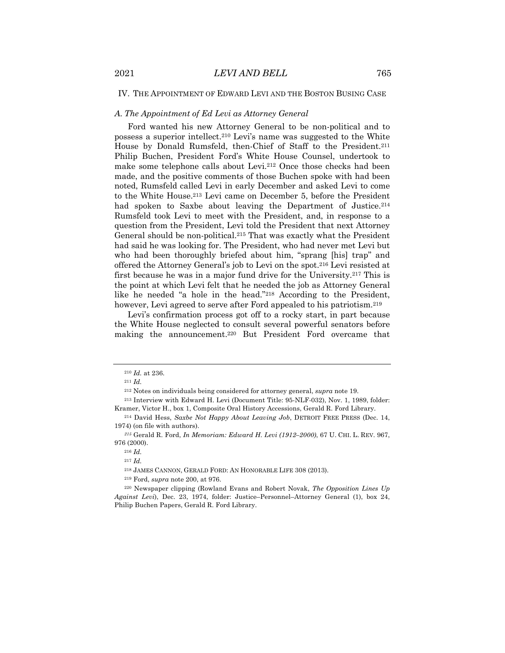## IV. THE APPOINTMENT OF EDWARD LEVI AND THE BOSTON BUSING CASE

## *A. The Appointment of Ed Levi as Attorney General*

Ford wanted his new Attorney General to be non-political and to possess a superior intellect.210 Levi's name was suggested to the White House by Donald Rumsfeld, then-Chief of Staff to the President.<sup>211</sup> Philip Buchen, President Ford's White House Counsel, undertook to make some telephone calls about Levi.212 Once those checks had been made, and the positive comments of those Buchen spoke with had been noted, Rumsfeld called Levi in early December and asked Levi to come to the White House.213 Levi came on December 5, before the President had spoken to Saxbe about leaving the Department of Justice.<sup>214</sup> Rumsfeld took Levi to meet with the President, and, in response to a question from the President, Levi told the President that next Attorney General should be non-political.215 That was exactly what the President had said he was looking for. The President, who had never met Levi but who had been thoroughly briefed about him, "sprang [his] trap" and offered the Attorney General's job to Levi on the spot.216 Levi resisted at first because he was in a major fund drive for the University.217 This is the point at which Levi felt that he needed the job as Attorney General like he needed "a hole in the head."218 According to the President, however, Levi agreed to serve after Ford appealed to his patriotism.<sup>219</sup>

Levi's confirmation process got off to a rocky start, in part because the White House neglected to consult several powerful senators before making the announcement.220 But President Ford overcame that

<sup>210</sup> *Id.* at 236.

<sup>211</sup> *Id.*

<sup>212</sup> Notes on individuals being considered for attorney general, *supra* note 19.

<sup>213</sup> Interview with Edward H. Levi (Document Title: 95-NLF-032), Nov. 1, 1989, folder: Kramer, Victor H., box 1, Composite Oral History Accessions, Gerald R. Ford Library.

<sup>214</sup> David Hess, *Saxbe Not Happy About Leaving Job*, DETROIT FREE PRESS (Dec. 14, 1974) (on file with authors).

*<sup>215</sup>* Gerald R. Ford, *In Memoriam: Edward H. Levi (1912–2000)*, 67 U. CHI. L. REV. 967, 976 (2000).

<sup>216</sup> *Id.*

<sup>217</sup> *Id.*

<sup>218</sup> JAMES CANNON, GERALD FORD: AN HONORABLE LIFE 308 (2013).

<sup>219</sup> Ford, *supra* note 200, at 976.

<sup>220</sup> Newspaper clipping (Rowland Evans and Robert Novak, *The Opposition Lines Up Against Levi*), Dec. 23, 1974, folder: Justice–Personnel–Attorney General (1), box 24, Philip Buchen Papers, Gerald R. Ford Library.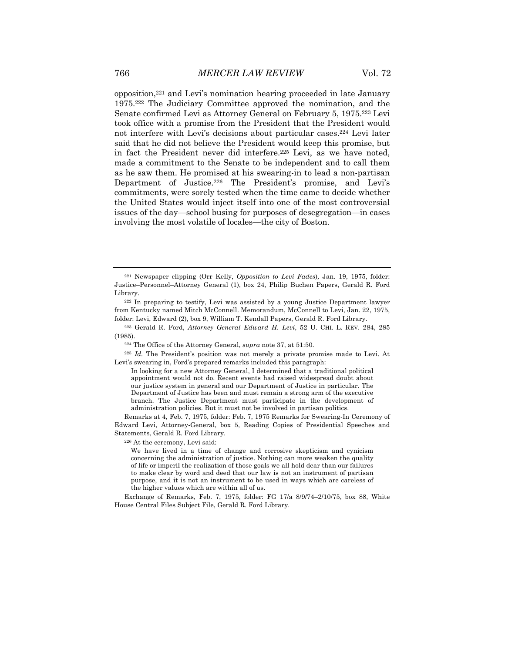opposition,221 and Levi's nomination hearing proceeded in late January 1975.222 The Judiciary Committee approved the nomination, and the Senate confirmed Levi as Attorney General on February 5, 1975.223 Levi took office with a promise from the President that the President would not interfere with Levi's decisions about particular cases.224 Levi later said that he did not believe the President would keep this promise, but in fact the President never did interfere.225 Levi, as we have noted, made a commitment to the Senate to be independent and to call them as he saw them. He promised at his swearing-in to lead a non-partisan Department of Justice.226 The President's promise, and Levi's commitments, were sorely tested when the time came to decide whether the United States would inject itself into one of the most controversial issues of the day—school busing for purposes of desegregation—in cases involving the most volatile of locales—the city of Boston.

<sup>221</sup> Newspaper clipping (Orr Kelly, *Opposition to Levi Fades*)*,* Jan. 19, 1975, folder: Justice–Personnel–Attorney General (1), box 24, Philip Buchen Papers, Gerald R. Ford Library.

<sup>222</sup> In preparing to testify, Levi was assisted by a young Justice Department lawyer from Kentucky named Mitch McConnell. Memorandum, McConnell to Levi, Jan. 22, 1975, folder: Levi, Edward (2), box 9, William T. Kendall Papers, Gerald R. Ford Library.

<sup>223</sup> Gerald R. Ford, *Attorney General Edward H. Levi*, 52 U. CHI. L. REV. 284, 285 (1985).

<sup>224</sup> The Office of the Attorney General, *supra* note 37, at 51:50.

<sup>225</sup> *Id.* The President's position was not merely a private promise made to Levi. At Levi's swearing in, Ford's prepared remarks included this paragraph:

In looking for a new Attorney General, I determined that a traditional political appointment would not do. Recent events had raised widespread doubt about our justice system in general and our Department of Justice in particular. The Department of Justice has been and must remain a strong arm of the executive branch. The Justice Department must participate in the development of administration policies. But it must not be involved in partisan politics.

Remarks at 4, Feb. 7, 1975, folder: Feb. 7, 1975 Remarks for Swearing-In Ceremony of Edward Levi, Attorney-General, box 5, Reading Copies of Presidential Speeches and Statements, Gerald R. Ford Library.

<sup>226</sup> At the ceremony, Levi said:

We have lived in a time of change and corrosive skepticism and cynicism concerning the administration of justice. Nothing can more weaken the quality of life or imperil the realization of those goals we all hold dear than our failures to make clear by word and deed that our law is not an instrument of partisan purpose, and it is not an instrument to be used in ways which are careless of the higher values which are within all of us.

Exchange of Remarks, Feb. 7, 1975, folder: FG 17/a 8/9/74–2/10/75, box 88, White House Central Files Subject File, Gerald R. Ford Library.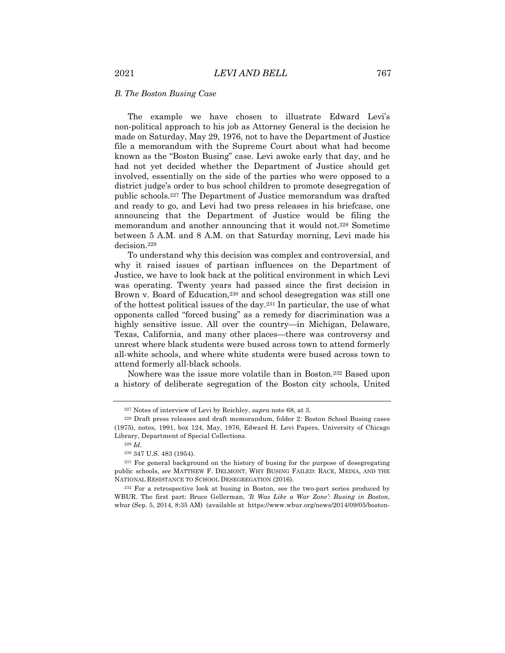## *B. The Boston Busing Case*

The example we have chosen to illustrate Edward Levi's non-political approach to his job as Attorney General is the decision he made on Saturday, May 29, 1976, not to have the Department of Justice file a memorandum with the Supreme Court about what had become known as the "Boston Busing" case. Levi awoke early that day, and he had not yet decided whether the Department of Justice should get involved, essentially on the side of the parties who were opposed to a district judge's order to bus school children to promote desegregation of public schools.227 The Department of Justice memorandum was drafted and ready to go, and Levi had two press releases in his briefcase, one announcing that the Department of Justice would be filing the memorandum and another announcing that it would not.228 Sometime between 5 A.M. and 8 A.M. on that Saturday morning, Levi made his decision.229

To understand why this decision was complex and controversial, and why it raised issues of partisan influences on the Department of Justice, we have to look back at the political environment in which Levi was operating. Twenty years had passed since the first decision in Brown v. Board of Education,<sup>230</sup> and school desegregation was still one of the hottest political issues of the day.<sup>231</sup> In particular, the use of what opponents called "forced busing" as a remedy for discrimination was a highly sensitive issue. All over the country—in Michigan, Delaware, Texas, California, and many other places—there was controversy and unrest where black students were bused across town to attend formerly all-white schools, and where white students were bused across town to attend formerly all-black schools.

Nowhere was the issue more volatile than in Boston.232 Based upon a history of deliberate segregation of the Boston city schools, United

<sup>227</sup> Notes of interview of Levi by Reichley, *supra* note 68, at 3.

<sup>228</sup> Draft press releases and draft memorandum, folder 2: Boston School Busing cases (1975), notes, 1991, box 124, May, 1976, Edward H. Levi Papers, University of Chicago Library, Department of Special Collections.

<sup>229</sup> *Id.*

<sup>230</sup> 347 U.S. 483 (1954).

<sup>231</sup> For general background on the history of busing for the purpose of desegregating public schools, *see* MATTHEW F. DELMONT, WHY BUSING FAILED: RACE, MEDIA, AND THE NATIONAL RESISTANCE TO SCHOOL DESEGREGATION (2016).

<sup>232</sup> For a retrospective look at busing in Boston, see the two-part series produced by WBUR. The first part: Bruce Gellerman, *'It Was Like a War Zone': Busing in Boston*, wbur (Sep. 5, 2014, 8:35 AM) (available at https://www.wbur.org/news/2014/09/05/boston-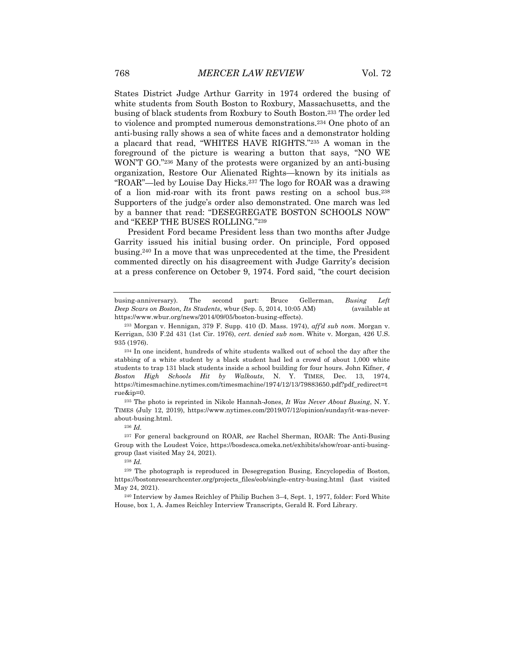States District Judge Arthur Garrity in 1974 ordered the busing of white students from South Boston to Roxbury, Massachusetts, and the busing of black students from Roxbury to South Boston.233 The order led to violence and prompted numerous demonstrations.234 One photo of an anti-busing rally shows a sea of white faces and a demonstrator holding a placard that read, "WHITES HAVE RIGHTS."235 A woman in the foreground of the picture is wearing a button that says, "NO WE WON'T GO."236 Many of the protests were organized by an anti-busing organization, Restore Our Alienated Rights—known by its initials as "ROAR"—led by Louise Day Hicks.237 The logo for ROAR was a drawing of a lion mid-roar with its front paws resting on a school bus.238 Supporters of the judge's order also demonstrated. One march was led by a banner that read: "DESEGREGATE BOSTON SCHOOLS NOW" and "KEEP THE BUSES ROLLING."239

President Ford became President less than two months after Judge Garrity issued his initial busing order. On principle, Ford opposed busing.240 In a move that was unprecedented at the time, the President commented directly on his disagreement with Judge Garrity's decision at a press conference on October 9, 1974. Ford said, "the court decision

<sup>234</sup> In one incident, hundreds of white students walked out of school the day after the stabbing of a white student by a black student had led a crowd of about 1,000 white students to trap 131 black students inside a school building for four hours. John Kifner, *4 Boston High Schools Hit by Walkouts*, N. Y. TIMES, Dec. 13, 1974, https://timesmachine.nytimes.com/timesmachine/1974/12/13/79883650.pdf?pdf\_redirect=t rue&ip=0.

<sup>235</sup> The photo is reprinted in Nikole Hannah-Jones, *It Was Never About Busing*, N. Y. TIMES (July 12, 2019), https://www.nytimes.com/2019/07/12/opinion/sunday/it-was-neverabout-busing.html.

<sup>237</sup> For general background on ROAR, *see* Rachel Sherman, ROAR: The Anti-Busing Group with the Loudest Voice, https://bosdesca.omeka.net/exhibits/show/roar-anti-businggroup (last visited May 24, 2021).

busing-anniversary). The second part: Bruce Gellerman, *Busing Left Deep Scars on Boston, Its Students*, wbur (Sep. 5, 2014, 10:05 AM) (available at https://www.wbur.org/news/2014/09/05/boston-busing-effects).

<sup>233</sup> Morgan v. Hennigan, 379 F. Supp. 410 (D. Mass. 1974), *aff'd sub nom.* Morgan v. Kerrigan, 530 F.2d 431 (1st Cir. 1976), *cert. denied sub nom*. White v. Morgan, 426 U.S. 935 (1976).

<sup>236</sup> *Id.*

<sup>238</sup> *Id.*

<sup>239</sup> The photograph is reproduced in Desegregation Busing, Encyclopedia of Boston, https://bostonresearchcenter.org/projects\_files/eob/single-entry-busing.html (last visited May 24, 2021).

<sup>240</sup> Interview by James Reichley of Philip Buchen 3–4, Sept. 1, 1977, folder: Ford White House, box 1, A. James Reichley Interview Transcripts, Gerald R. Ford Library.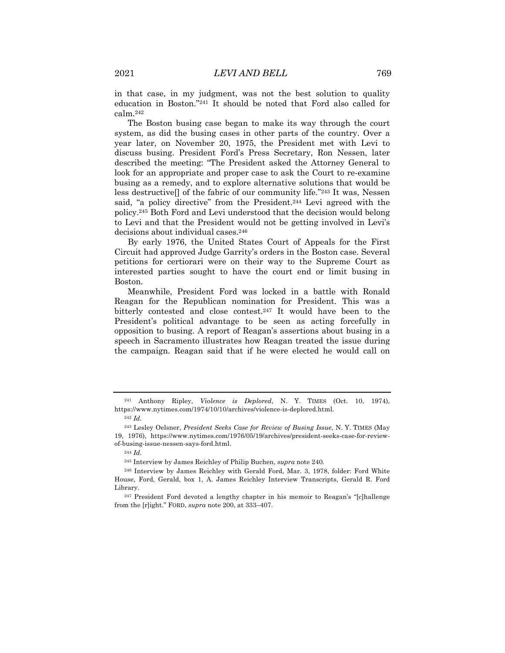in that case, in my judgment, was not the best solution to quality education in Boston."241 It should be noted that Ford also called for calm.242

The Boston busing case began to make its way through the court system, as did the busing cases in other parts of the country. Over a year later, on November 20, 1975, the President met with Levi to discuss busing. President Ford's Press Secretary, Ron Nessen, later described the meeting: "The President asked the Attorney General to look for an appropriate and proper case to ask the Court to re-examine busing as a remedy, and to explore alternative solutions that would be less destructive[] of the fabric of our community life."243 It was, Nessen said, "a policy directive" from the President.244 Levi agreed with the policy.245 Both Ford and Levi understood that the decision would belong to Levi and that the President would not be getting involved in Levi's decisions about individual cases.246

By early 1976, the United States Court of Appeals for the First Circuit had approved Judge Garrity's orders in the Boston case. Several petitions for certiorari were on their way to the Supreme Court as interested parties sought to have the court end or limit busing in Boston.

Meanwhile, President Ford was locked in a battle with Ronald Reagan for the Republican nomination for President. This was a bitterly contested and close contest.247 It would have been to the President's political advantage to be seen as acting forcefully in opposition to busing. A report of Reagan's assertions about busing in a speech in Sacramento illustrates how Reagan treated the issue during the campaign. Reagan said that if he were elected he would call on

<sup>241</sup> Anthony Ripley, *Violence is Deplored*, N. Y. TIMES (Oct. 10, 1974), https://www.nytimes.com/1974/10/10/archives/violence-is-deplored.html.

<sup>242</sup> *Id.*

<sup>243</sup> Lesley Oelsner, *President Seeks Case for Review of Busing Issue*, N. Y. TIMES (May 19, 1976), https://www.nytimes.com/1976/05/19/archives/president-seeks-case-for-reviewof-busing-issue-nessen-says-ford.html.

<sup>244</sup> *Id.*

<sup>245</sup> Interview by James Reichley of Philip Buchen, *supra* note 240.

<sup>246</sup> Interview by James Reichley with Gerald Ford, Mar. 3, 1978, folder: Ford White House, Ford, Gerald, box 1, A. James Reichley Interview Transcripts, Gerald R. Ford Library.

<sup>247</sup> President Ford devoted a lengthy chapter in his memoir to Reagan's "[c]hallenge from the [r]ight." FORD, *supra* note 200, at 333–407.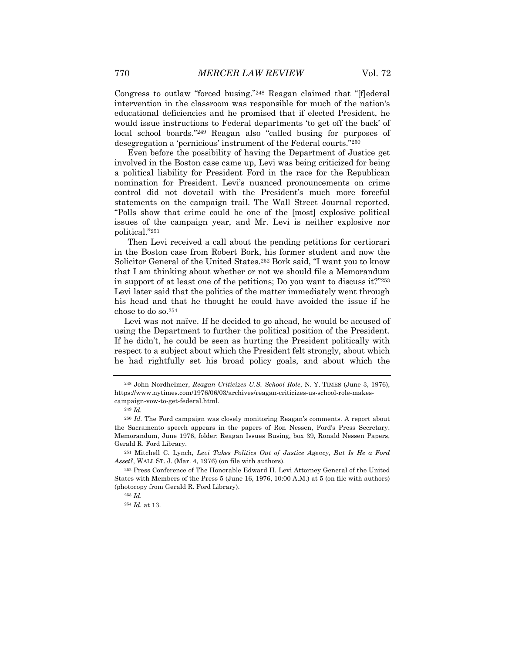Congress to outlaw "forced busing."248 Reagan claimed that "[f]ederal intervention in the classroom was responsible for much of the nation's educational deficiencies and he promised that if elected President, he would issue instructions to Federal departments 'to get off the back' of local school boards."249 Reagan also "called busing for purposes of desegregation a 'pernicious' instrument of the Federal courts."250

Even before the possibility of having the Department of Justice get involved in the Boston case came up, Levi was being criticized for being a political liability for President Ford in the race for the Republican nomination for President. Levi's nuanced pronouncements on crime control did not dovetail with the President's much more forceful statements on the campaign trail. The Wall Street Journal reported, "Polls show that crime could be one of the [most] explosive political issues of the campaign year, and Mr. Levi is neither explosive nor political."251

Then Levi received a call about the pending petitions for certiorari in the Boston case from Robert Bork, his former student and now the Solicitor General of the United States.252 Bork said, "I want you to know that I am thinking about whether or not we should file a Memorandum in support of at least one of the petitions; Do you want to discuss it?"253 Levi later said that the politics of the matter immediately went through his head and that he thought he could have avoided the issue if he chose to do so.254

Levi was not naïve. If he decided to go ahead, he would be accused of using the Department to further the political position of the President. If he didn't, he could be seen as hurting the President politically with respect to a subject about which the President felt strongly, about which he had rightfully set his broad policy goals, and about which the

<sup>248</sup> John Nordhelmer, *Reagan Criticizes U.S. School Role*, N. Y. TIMES (June 3, 1976), https://www.nytimes.com/1976/06/03/archives/reagan-criticizes-us-school-role-makescampaign-vow-to-get-federal.html.

<sup>249</sup> *Id.*

<sup>250</sup> *Id.* The Ford campaign was closely monitoring Reagan's comments. A report about the Sacramento speech appears in the papers of Ron Nessen, Ford's Press Secretary. Memorandum, June 1976, folder: Reagan Issues Busing, box 39, Ronald Nessen Papers, Gerald R. Ford Library.

<sup>251</sup> Mitchell C. Lynch, *Levi Takes Politics Out of Justice Agency, But Is He a Ford Asset?*, WALL ST. J. (Mar. 4, 1976) (on file with authors).

<sup>252</sup> Press Conference of The Honorable Edward H. Levi Attorney General of the United States with Members of the Press 5 (June 16, 1976, 10:00 A.M.) at 5 (on file with authors) (photocopy from Gerald R. Ford Library).

<sup>253</sup> *Id.*

<sup>254</sup> *Id.* at 13.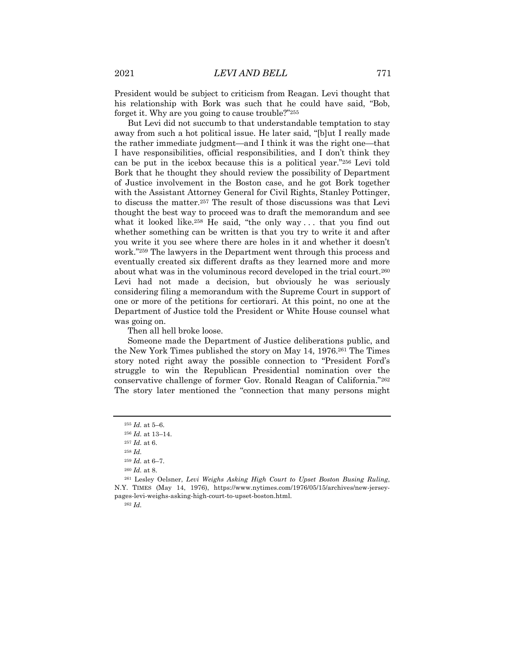President would be subject to criticism from Reagan. Levi thought that his relationship with Bork was such that he could have said, "Bob, forget it. Why are you going to cause trouble?"255

But Levi did not succumb to that understandable temptation to stay away from such a hot political issue. He later said, "[b]ut I really made the rather immediate judgment—and I think it was the right one—that I have responsibilities, official responsibilities, and I don't think they can be put in the icebox because this is a political year."256 Levi told Bork that he thought they should review the possibility of Department of Justice involvement in the Boston case, and he got Bork together with the Assistant Attorney General for Civil Rights, Stanley Pottinger, to discuss the matter.257 The result of those discussions was that Levi thought the best way to proceed was to draft the memorandum and see what it looked like.<sup>258</sup> He said, "the only way ... that you find out whether something can be written is that you try to write it and after you write it you see where there are holes in it and whether it doesn't work."259 The lawyers in the Department went through this process and eventually created six different drafts as they learned more and more about what was in the voluminous record developed in the trial court.260 Levi had not made a decision, but obviously he was seriously considering filing a memorandum with the Supreme Court in support of one or more of the petitions for certiorari. At this point, no one at the Department of Justice told the President or White House counsel what was going on.

Then all hell broke loose.

Someone made the Department of Justice deliberations public, and the New York Times published the story on May 14, 1976.261 The Times story noted right away the possible connection to "President Ford's struggle to win the Republican Presidential nomination over the conservative challenge of former Gov. Ronald Reagan of California."262 The story later mentioned the "connection that many persons might

<sup>259</sup> *Id.* at 6–7.

<sup>262</sup> *Id.*

<sup>255</sup> *Id.* at 5–6.

<sup>256</sup> *Id.* at 13–14.

<sup>257</sup> *Id.* at 6.

<sup>258</sup> *Id.*

<sup>260</sup> *Id.* at 8.

<sup>261</sup> Lesley Oelsner, *Levi Weighs Asking High Court to Upset Boston Busing Ruling*, N.Y. TIMES (May 14, 1976), https://www.nytimes.com/1976/05/15/archives/new-jerseypages-levi-weighs-asking-high-court-to-upset-boston.html.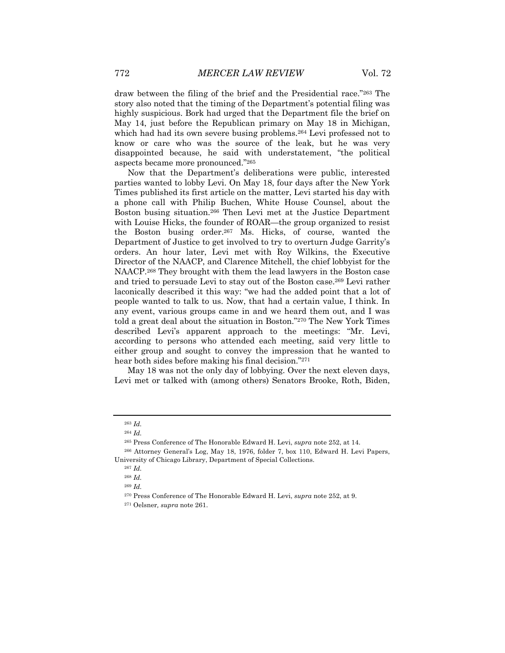draw between the filing of the brief and the Presidential race."263 The story also noted that the timing of the Department's potential filing was highly suspicious. Bork had urged that the Department file the brief on May 14, just before the Republican primary on May 18 in Michigan, which had had its own severe busing problems.<sup>264</sup> Levi professed not to know or care who was the source of the leak, but he was very disappointed because, he said with understatement, "the political aspects became more pronounced."265

Now that the Department's deliberations were public, interested parties wanted to lobby Levi. On May 18, four days after the New York Times published its first article on the matter, Levi started his day with a phone call with Philip Buchen, White House Counsel, about the Boston busing situation.266 Then Levi met at the Justice Department with Louise Hicks, the founder of ROAR—the group organized to resist the Boston busing order.267 Ms. Hicks, of course, wanted the Department of Justice to get involved to try to overturn Judge Garrity's orders. An hour later, Levi met with Roy Wilkins, the Executive Director of the NAACP, and Clarence Mitchell, the chief lobbyist for the NAACP.268 They brought with them the lead lawyers in the Boston case and tried to persuade Levi to stay out of the Boston case.269 Levi rather laconically described it this way: "we had the added point that a lot of people wanted to talk to us. Now, that had a certain value, I think. In any event, various groups came in and we heard them out, and I was told a great deal about the situation in Boston."270 The New York Times described Levi's apparent approach to the meetings: "Mr. Levi, according to persons who attended each meeting, said very little to either group and sought to convey the impression that he wanted to hear both sides before making his final decision."271

May 18 was not the only day of lobbying. Over the next eleven days, Levi met or talked with (among others) Senators Brooke, Roth, Biden,

<sup>263</sup> *Id.*

<sup>264</sup> *Id.*

<sup>265</sup> Press Conference of The Honorable Edward H. Levi, *supra* note 252, at 14.

<sup>266</sup> Attorney General's Log, May 18, 1976, folder 7, box 110, Edward H. Levi Papers, University of Chicago Library, Department of Special Collections.

<sup>267</sup> *Id.* 

<sup>268</sup> *Id.* 

<sup>269</sup> *Id.*

<sup>270</sup> Press Conference of The Honorable Edward H. Levi, *supra* note 252, at 9.

<sup>271</sup> Oelsner*, supra* note 261.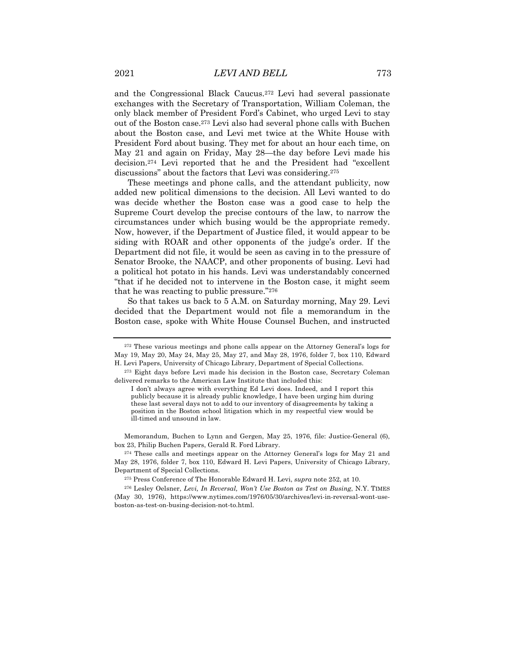and the Congressional Black Caucus.272 Levi had several passionate exchanges with the Secretary of Transportation, William Coleman, the only black member of President Ford's Cabinet, who urged Levi to stay out of the Boston case.273 Levi also had several phone calls with Buchen about the Boston case, and Levi met twice at the White House with President Ford about busing. They met for about an hour each time, on May 21 and again on Friday, May 28—the day before Levi made his decision.274 Levi reported that he and the President had "excellent discussions" about the factors that Levi was considering.275

These meetings and phone calls, and the attendant publicity, now added new political dimensions to the decision. All Levi wanted to do was decide whether the Boston case was a good case to help the Supreme Court develop the precise contours of the law, to narrow the circumstances under which busing would be the appropriate remedy. Now, however, if the Department of Justice filed, it would appear to be siding with ROAR and other opponents of the judge's order. If the Department did not file, it would be seen as caving in to the pressure of Senator Brooke, the NAACP, and other proponents of busing. Levi had a political hot potato in his hands. Levi was understandably concerned "that if he decided not to intervene in the Boston case, it might seem that he was reacting to public pressure."276

So that takes us back to 5 A.M. on Saturday morning, May 29. Levi decided that the Department would not file a memorandum in the Boston case, spoke with White House Counsel Buchen, and instructed

Memorandum, Buchen to Lynn and Gergen, May 25, 1976, file: Justice-General (6), box 23, Philip Buchen Papers, Gerald R. Ford Library.

<sup>275</sup> Press Conference of The Honorable Edward H. Levi, *supra* note 252, at 10.

<sup>276</sup> Lesley Oelsner, *Levi, In Reversal, Won't Use Boston as Test on Busing*, N.Y. TIMES (May 30, 1976), https://www.nytimes.com/1976/05/30/archives/levi-in-reversal-wont-useboston-as-test-on-busing-decision-not-to.html.

<sup>272</sup> These various meetings and phone calls appear on the Attorney General's logs for May 19, May 20, May 24, May 25, May 27, and May 28, 1976, folder 7, box 110, Edward H. Levi Papers, University of Chicago Library, Department of Special Collections.

<sup>273</sup> Eight days before Levi made his decision in the Boston case, Secretary Coleman delivered remarks to the American Law Institute that included this:

I don't always agree with everything Ed Levi does. Indeed, and I report this publicly because it is already public knowledge, I have been urging him during these last several days not to add to our inventory of disagreements by taking a position in the Boston school litigation which in my respectful view would be ill-timed and unsound in law.

<sup>274</sup> These calls and meetings appear on the Attorney General's logs for May 21 and May 28, 1976, folder 7, box 110, Edward H. Levi Papers, University of Chicago Library, Department of Special Collections.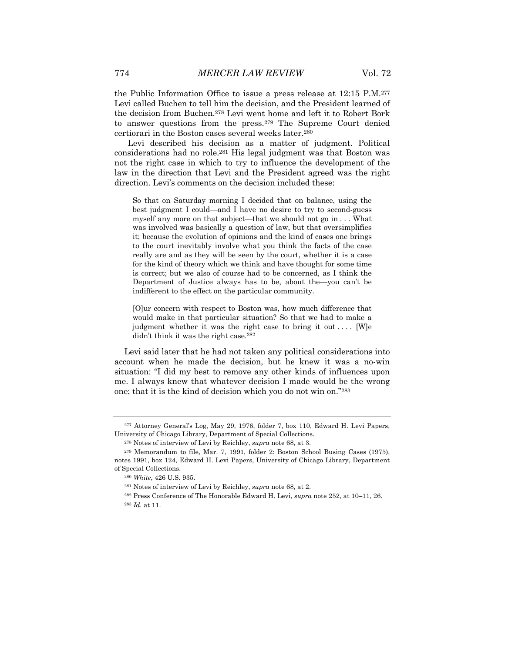the Public Information Office to issue a press release at 12:15 P.M.277 Levi called Buchen to tell him the decision, and the President learned of the decision from Buchen.278 Levi went home and left it to Robert Bork to answer questions from the press.279 The Supreme Court denied certiorari in the Boston cases several weeks later.280

Levi described his decision as a matter of judgment. Political considerations had no role.281 His legal judgment was that Boston was not the right case in which to try to influence the development of the law in the direction that Levi and the President agreed was the right direction. Levi's comments on the decision included these:

So that on Saturday morning I decided that on balance, using the best judgment I could—and I have no desire to try to second-guess myself any more on that subject—that we should not go in . . . What was involved was basically a question of law, but that oversimplifies it; because the evolution of opinions and the kind of cases one brings to the court inevitably involve what you think the facts of the case really are and as they will be seen by the court, whether it is a case for the kind of theory which we think and have thought for some time is correct; but we also of course had to be concerned, as I think the Department of Justice always has to be, about the—you can't be indifferent to the effect on the particular community.

[O]ur concern with respect to Boston was, how much difference that would make in that particular situation? So that we had to make a judgment whether it was the right case to bring it out .... [W]e didn't think it was the right case.282

Levi said later that he had not taken any political considerations into account when he made the decision, but he knew it was a no-win situation: "I did my best to remove any other kinds of influences upon me. I always knew that whatever decision I made would be the wrong one; that it is the kind of decision which you do not win on."283

<sup>277</sup> Attorney General's Log, May 29, 1976, folder 7, box 110, Edward H. Levi Papers, University of Chicago Library, Department of Special Collections.

<sup>278</sup> Notes of interview of Levi by Reichley, *supra* note 68, at 3.

<sup>279</sup> Memorandum to file, Mar. 7, 1991, folder 2: Boston School Busing Cases (1975), notes 1991, box 124, Edward H. Levi Papers, University of Chicago Library, Department of Special Collections.

<sup>280</sup> *White*, 426 U.S. 935.

<sup>281</sup> Notes of interview of Levi by Reichley, *supra* note 68, at 2.

<sup>282</sup> Press Conference of The Honorable Edward H. Levi, *supra* note 252, at 10–11, 26. <sup>283</sup> *Id.* at 11.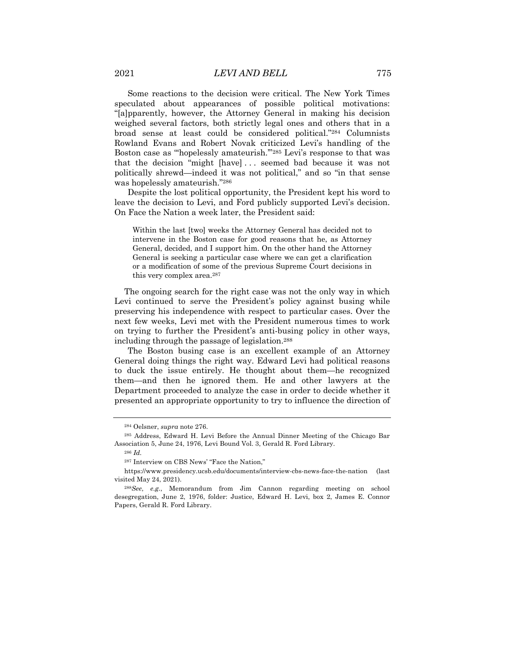Some reactions to the decision were critical. The New York Times speculated about appearances of possible political motivations: "[a]pparently, however, the Attorney General in making his decision weighed several factors, both strictly legal ones and others that in a broad sense at least could be considered political."284 Columnists Rowland Evans and Robert Novak criticized Levi's handling of the Boston case as "'hopelessly amateurish.'"285 Levi's response to that was that the decision "might [have] . . . seemed bad because it was not politically shrewd—indeed it was not political," and so "in that sense was hopelessly amateurish."286

Despite the lost political opportunity, the President kept his word to leave the decision to Levi, and Ford publicly supported Levi's decision. On Face the Nation a week later, the President said:

Within the last [two] weeks the Attorney General has decided not to intervene in the Boston case for good reasons that he, as Attorney General, decided, and I support him. On the other hand the Attorney General is seeking a particular case where we can get a clarification or a modification of some of the previous Supreme Court decisions in this very complex area.<sup>287</sup>

The ongoing search for the right case was not the only way in which Levi continued to serve the President's policy against busing while preserving his independence with respect to particular cases. Over the next few weeks, Levi met with the President numerous times to work on trying to further the President's anti-busing policy in other ways, including through the passage of legislation.288

The Boston busing case is an excellent example of an Attorney General doing things the right way. Edward Levi had political reasons to duck the issue entirely. He thought about them—he recognized them—and then he ignored them. He and other lawyers at the Department proceeded to analyze the case in order to decide whether it presented an appropriate opportunity to try to influence the direction of

<sup>284</sup> Oelsner, *supra* note 276.

<sup>285</sup> Address, Edward H. Levi Before the Annual Dinner Meeting of the Chicago Bar Association 5, June 24, 1976, Levi Bound Vol. 3, Gerald R. Ford Library.

<sup>286</sup> *Id.*

<sup>287</sup> Interview on CBS News' "Face the Nation,"

https://www.presidency.ucsb.edu/documents/interview-cbs-news-face-the-nation (last visited May 24, 2021).

<sup>288</sup>*See*, *e.g.*, Memorandum from Jim Cannon regarding meeting on school desegregation, June 2, 1976, folder: Justice, Edward H. Levi, box 2, James E. Connor Papers, Gerald R. Ford Library.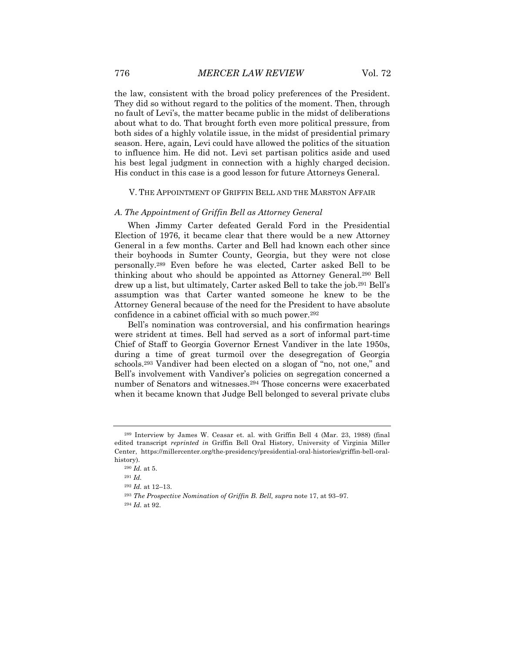the law, consistent with the broad policy preferences of the President. They did so without regard to the politics of the moment. Then, through no fault of Levi's, the matter became public in the midst of deliberations about what to do. That brought forth even more political pressure, from both sides of a highly volatile issue, in the midst of presidential primary season. Here, again, Levi could have allowed the politics of the situation to influence him. He did not. Levi set partisan politics aside and used his best legal judgment in connection with a highly charged decision. His conduct in this case is a good lesson for future Attorneys General.

## V. THE APPOINTMENT OF GRIFFIN BELL AND THE MARSTON AFFAIR

#### *A. The Appointment of Griffin Bell as Attorney General*

When Jimmy Carter defeated Gerald Ford in the Presidential Election of 1976, it became clear that there would be a new Attorney General in a few months. Carter and Bell had known each other since their boyhoods in Sumter County, Georgia, but they were not close personally.289 Even before he was elected, Carter asked Bell to be thinking about who should be appointed as Attorney General.290 Bell drew up a list, but ultimately, Carter asked Bell to take the job.291 Bell's assumption was that Carter wanted someone he knew to be the Attorney General because of the need for the President to have absolute confidence in a cabinet official with so much power.292

Bell's nomination was controversial, and his confirmation hearings were strident at times. Bell had served as a sort of informal part-time Chief of Staff to Georgia Governor Ernest Vandiver in the late 1950s, during a time of great turmoil over the desegregation of Georgia schools.293 Vandiver had been elected on a slogan of "no, not one," and Bell's involvement with Vandiver's policies on segregation concerned a number of Senators and witnesses.294 Those concerns were exacerbated when it became known that Judge Bell belonged to several private clubs

<sup>289</sup> Interview by James W. Ceasar et. al. with Griffin Bell 4 (Mar. 23, 1988) (final edited transcript *reprinted in* Griffin Bell Oral History, University of Virginia Miller Center, https://millercenter.org/the-presidency/presidential-oral-histories/griffin-bell-oralhistory).

<sup>290</sup> *Id.* at 5.

<sup>291</sup> *Id.*

<sup>292</sup> *Id.* at 12–13.

<sup>293</sup> *The Prospective Nomination of Griffin B. Bell, supra* note 17, at 93–97.

<sup>294</sup> *Id.* at 92.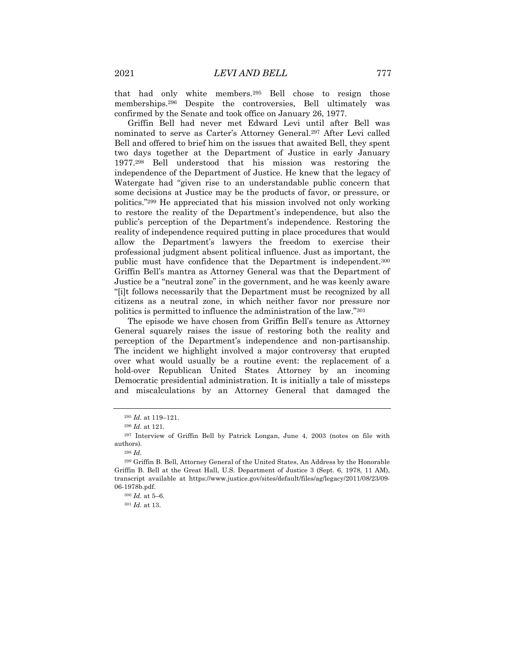that had only white members.295 Bell chose to resign those memberships.296 Despite the controversies, Bell ultimately was confirmed by the Senate and took office on January 26, 1977.

Griffin Bell had never met Edward Levi until after Bell was nominated to serve as Carter's Attorney General.297 After Levi called Bell and offered to brief him on the issues that awaited Bell, they spent two days together at the Department of Justice in early January 1977.298 Bell understood that his mission was restoring the independence of the Department of Justice. He knew that the legacy of Watergate had "given rise to an understandable public concern that some decisions at Justice may be the products of favor, or pressure, or politics."299 He appreciated that his mission involved not only working to restore the reality of the Department's independence, but also the public's perception of the Department's independence. Restoring the reality of independence required putting in place procedures that would allow the Department's lawyers the freedom to exercise their professional judgment absent political influence. Just as important, the public must have confidence that the Department is independent.300 Griffin Bell's mantra as Attorney General was that the Department of Justice be a "neutral zone" in the government, and he was keenly aware "[i]t follows necessarily that the Department must be recognized by all citizens as a neutral zone, in which neither favor nor pressure nor politics is permitted to influence the administration of the law."301

The episode we have chosen from Griffin Bell's tenure as Attorney General squarely raises the issue of restoring both the reality and perception of the Department's independence and non-partisanship. The incident we highlight involved a major controversy that erupted over what would usually be a routine event: the replacement of a hold-over Republican United States Attorney by an incoming Democratic presidential administration. It is initially a tale of missteps and miscalculations by an Attorney General that damaged the

<sup>295</sup> *Id.* at 119–121.

<sup>296</sup> *Id.* at 121.

<sup>297</sup> Interview of Griffin Bell by Patrick Longan, June 4, 2003 (notes on file with authors).

<sup>298</sup> *Id.*

<sup>299</sup> Griffin B. Bell, Attorney General of the United States, An Address by the Honorable Griffin B. Bell at the Great Hall, U.S. Department of Justice 3 (Sept. 6, 1978, 11 AM), transcript available at https://www.justice.gov/sites/default/files/ag/legacy/2011/08/23/09- 06-1978b.pdf.

<sup>300</sup> *Id.* at 5–6.

<sup>301</sup> *Id.* at 13.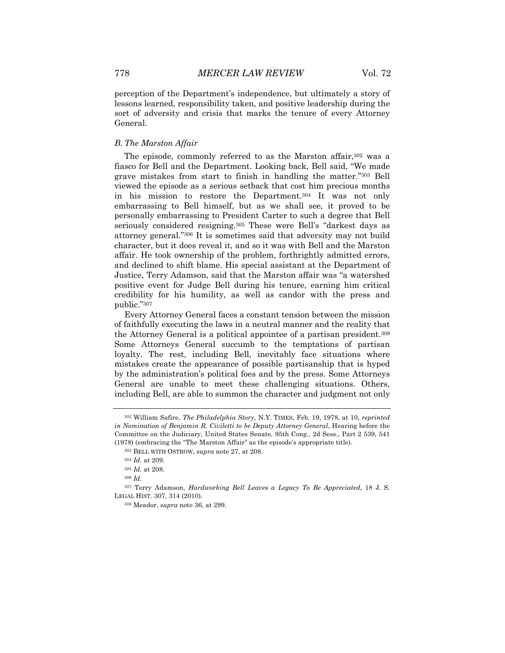perception of the Department's independence, but ultimately a story of lessons learned, responsibility taken, and positive leadership during the sort of adversity and crisis that marks the tenure of every Attorney General.

## *B. The Marston Affair*

The episode, commonly referred to as the Marston affair, <sup>302</sup> was a fiasco for Bell and the Department. Looking back, Bell said, "We made grave mistakes from start to finish in handling the matter."303 Bell viewed the episode as a serious setback that cost him precious months in his mission to restore the Department.304 It was not only embarrassing to Bell himself, but as we shall see, it proved to be personally embarrassing to President Carter to such a degree that Bell seriously considered resigning.<sup>305</sup> These were Bell's "darkest days as attorney general."306 It is sometimes said that adversity may not build character, but it does reveal it, and so it was with Bell and the Marston affair. He took ownership of the problem, forthrightly admitted errors, and declined to shift blame. His special assistant at the Department of Justice, Terry Adamson, said that the Marston affair was "a watershed positive event for Judge Bell during his tenure, earning him critical credibility for his humility, as well as candor with the press and public."307

Every Attorney General faces a constant tension between the mission of faithfully executing the laws in a neutral manner and the reality that the Attorney General is a political appointee of a partisan president.308 Some Attorneys General succumb to the temptations of partisan loyalty. The rest, including Bell, inevitably face situations where mistakes create the appearance of possible partisanship that is hyped by the administration's political foes and by the press. Some Attorneys General are unable to meet these challenging situations. Others, including Bell, are able to summon the character and judgment not only

<sup>302</sup> William Safire, *The Philadelphia Story*, N.Y. TIMES, Feb. 19, 1978, at 10, *reprinted in Nomination of Benjamin R. Civiletti to be Deputy Attorney General*, Hearing before the Committee on the Judiciary, United States Senate, 95th Cong., 2d Sess., Part 2 539, 541 (1978) (embracing the "The Marston Affair" as the episode's appropriate title).

<sup>303</sup> BELL WITH OSTROW, *supra* note 27, at 208.

<sup>304</sup> *Id.* at 209.

<sup>305</sup> *Id.* at 208.

<sup>306</sup> *Id.*

<sup>307</sup> Terry Adamson, *Hardworking Bell Leaves a Legacy To Be Appreciated*, 18 J. S. LEGAL HIST. 307, 314 (2010).

<sup>308</sup> Meador, *supra* note 36, at 299.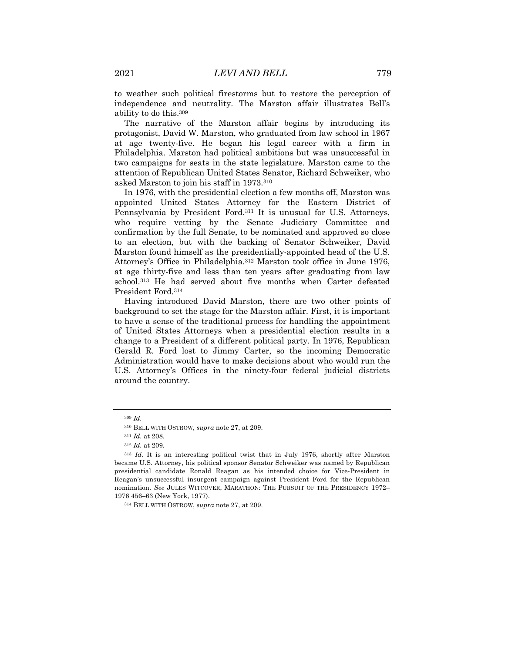to weather such political firestorms but to restore the perception of independence and neutrality. The Marston affair illustrates Bell's ability to do this.309

The narrative of the Marston affair begins by introducing its protagonist, David W. Marston, who graduated from law school in 1967 at age twenty-five. He began his legal career with a firm in Philadelphia. Marston had political ambitions but was unsuccessful in two campaigns for seats in the state legislature. Marston came to the attention of Republican United States Senator, Richard Schweiker, who asked Marston to join his staff in 1973.310

In 1976, with the presidential election a few months off, Marston was appointed United States Attorney for the Eastern District of Pennsylvania by President Ford.311 It is unusual for U.S. Attorneys, who require vetting by the Senate Judiciary Committee and confirmation by the full Senate, to be nominated and approved so close to an election, but with the backing of Senator Schweiker, David Marston found himself as the presidentially-appointed head of the U.S. Attorney's Office in Philadelphia.312 Marston took office in June 1976, at age thirty-five and less than ten years after graduating from law school.313 He had served about five months when Carter defeated President Ford.314

Having introduced David Marston, there are two other points of background to set the stage for the Marston affair. First, it is important to have a sense of the traditional process for handling the appointment of United States Attorneys when a presidential election results in a change to a President of a different political party. In 1976, Republican Gerald R. Ford lost to Jimmy Carter, so the incoming Democratic Administration would have to make decisions about who would run the U.S. Attorney's Offices in the ninety-four federal judicial districts around the country.

<sup>309</sup> *Id.*

<sup>310</sup> BELL WITH OSTROW, *supra* note 27, at 209.

<sup>311</sup> *Id.* at 208.

<sup>312</sup> *Id.* at 209.

<sup>313</sup> *Id.* It is an interesting political twist that in July 1976, shortly after Marston became U.S. Attorney, his political sponsor Senator Schweiker was named by Republican presidential candidate Ronald Reagan as his intended choice for Vice-President in Reagan's unsuccessful insurgent campaign against President Ford for the Republican nomination. *See* JULES WITCOVER, MARATHON: THE PURSUIT OF THE PRESIDENCY 1972– 1976 456–63 (New York, 1977).

<sup>314</sup> BELL WITH OSTROW, *supra* note 27, at 209.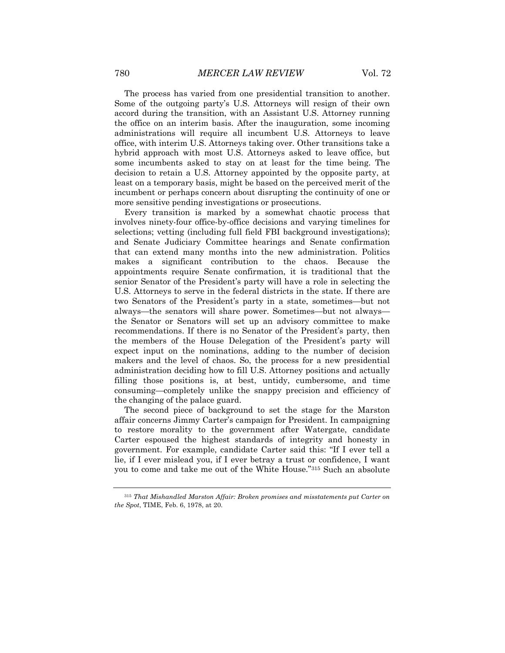The process has varied from one presidential transition to another. Some of the outgoing party's U.S. Attorneys will resign of their own accord during the transition, with an Assistant U.S. Attorney running the office on an interim basis. After the inauguration, some incoming administrations will require all incumbent U.S. Attorneys to leave office, with interim U.S. Attorneys taking over. Other transitions take a hybrid approach with most U.S. Attorneys asked to leave office, but some incumbents asked to stay on at least for the time being. The decision to retain a U.S. Attorney appointed by the opposite party, at least on a temporary basis, might be based on the perceived merit of the incumbent or perhaps concern about disrupting the continuity of one or more sensitive pending investigations or prosecutions.

Every transition is marked by a somewhat chaotic process that involves ninety-four office-by-office decisions and varying timelines for selections; vetting (including full field FBI background investigations); and Senate Judiciary Committee hearings and Senate confirmation that can extend many months into the new administration. Politics makes a significant contribution to the chaos. Because the appointments require Senate confirmation, it is traditional that the senior Senator of the President's party will have a role in selecting the U.S. Attorneys to serve in the federal districts in the state. If there are two Senators of the President's party in a state, sometimes—but not always—the senators will share power. Sometimes—but not always the Senator or Senators will set up an advisory committee to make recommendations. If there is no Senator of the President's party, then the members of the House Delegation of the President's party will expect input on the nominations, adding to the number of decision makers and the level of chaos. So, the process for a new presidential administration deciding how to fill U.S. Attorney positions and actually filling those positions is, at best, untidy, cumbersome, and time consuming—completely unlike the snappy precision and efficiency of the changing of the palace guard.

The second piece of background to set the stage for the Marston affair concerns Jimmy Carter's campaign for President. In campaigning to restore morality to the government after Watergate, candidate Carter espoused the highest standards of integrity and honesty in government. For example, candidate Carter said this: "If I ever tell a lie, if I ever mislead you, if I ever betray a trust or confidence, I want you to come and take me out of the White House."315 Such an absolute

<sup>315</sup> *That Mishandled Marston Affair: Broken promises and misstatements put Carter on the Spot*, TIME, Feb. 6, 1978, at 20.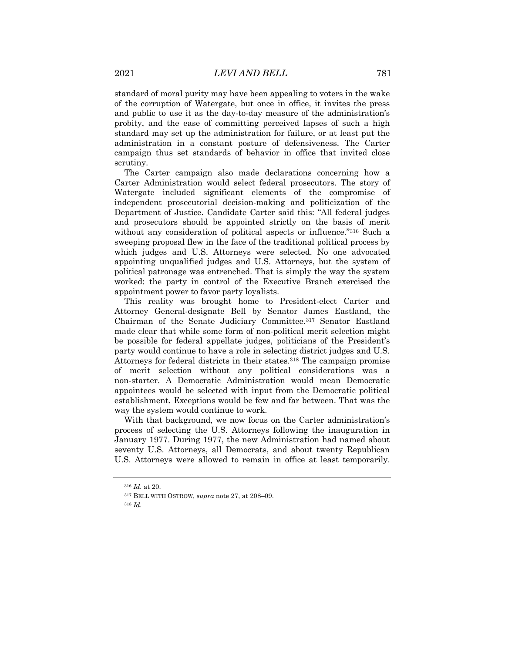standard of moral purity may have been appealing to voters in the wake of the corruption of Watergate, but once in office, it invites the press and public to use it as the day-to-day measure of the administration's probity, and the ease of committing perceived lapses of such a high standard may set up the administration for failure, or at least put the administration in a constant posture of defensiveness. The Carter campaign thus set standards of behavior in office that invited close scrutiny.

The Carter campaign also made declarations concerning how a Carter Administration would select federal prosecutors. The story of Watergate included significant elements of the compromise of independent prosecutorial decision-making and politicization of the Department of Justice. Candidate Carter said this: "All federal judges and prosecutors should be appointed strictly on the basis of merit without any consideration of political aspects or influence."316 Such a sweeping proposal flew in the face of the traditional political process by which judges and U.S. Attorneys were selected. No one advocated appointing unqualified judges and U.S. Attorneys, but the system of political patronage was entrenched. That is simply the way the system worked: the party in control of the Executive Branch exercised the appointment power to favor party loyalists.

This reality was brought home to President-elect Carter and Attorney General-designate Bell by Senator James Eastland, the Chairman of the Senate Judiciary Committee.317 Senator Eastland made clear that while some form of non-political merit selection might be possible for federal appellate judges, politicians of the President's party would continue to have a role in selecting district judges and U.S. Attorneys for federal districts in their states.318 The campaign promise of merit selection without any political considerations was a non-starter. A Democratic Administration would mean Democratic appointees would be selected with input from the Democratic political establishment. Exceptions would be few and far between. That was the way the system would continue to work.

With that background, we now focus on the Carter administration's process of selecting the U.S. Attorneys following the inauguration in January 1977. During 1977, the new Administration had named about seventy U.S. Attorneys, all Democrats, and about twenty Republican U.S. Attorneys were allowed to remain in office at least temporarily.

<sup>316</sup> *Id.* at 20.

<sup>317</sup> BELL WITH OSTROW, *supra* note 27, at 208–09.

<sup>318</sup> *Id.*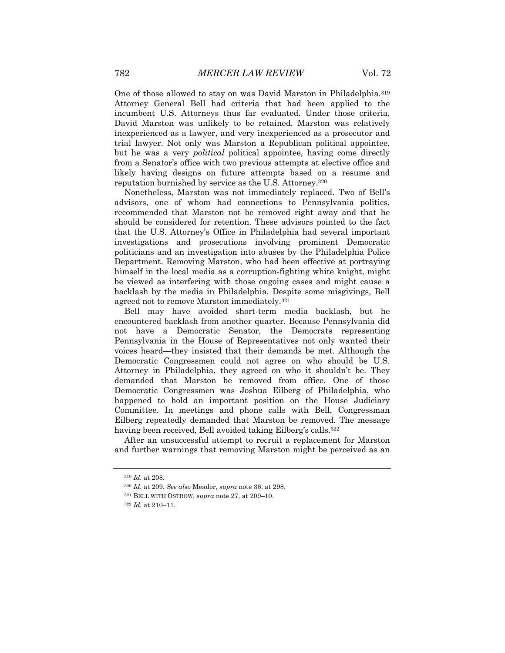One of those allowed to stay on was David Marston in Philadelphia.319 Attorney General Bell had criteria that had been applied to the incumbent U.S. Attorneys thus far evaluated. Under those criteria, David Marston was unlikely to be retained. Marston was relatively inexperienced as a lawyer, and very inexperienced as a prosecutor and trial lawyer. Not only was Marston a Republican political appointee, but he was a very *political* political appointee, having come directly from a Senator's office with two previous attempts at elective office and likely having designs on future attempts based on a resume and reputation burnished by service as the U.S. Attorney.320

Nonetheless, Marston was not immediately replaced. Two of Bell's advisors, one of whom had connections to Pennsylvania politics, recommended that Marston not be removed right away and that he should be considered for retention. These advisors pointed to the fact that the U.S. Attorney's Office in Philadelphia had several important investigations and prosecutions involving prominent Democratic politicians and an investigation into abuses by the Philadelphia Police Department. Removing Marston, who had been effective at portraying himself in the local media as a corruption-fighting white knight, might be viewed as interfering with those ongoing cases and might cause a backlash by the media in Philadelphia. Despite some misgivings, Bell agreed not to remove Marston immediately.321

Bell may have avoided short-term media backlash, but he encountered backlash from another quarter. Because Pennsylvania did not have a Democratic Senator, the Democrats representing Pennsylvania in the House of Representatives not only wanted their voices heard—they insisted that their demands be met. Although the Democratic Congressmen could not agree on who should be U.S. Attorney in Philadelphia, they agreed on who it shouldn't be. They demanded that Marston be removed from office. One of those Democratic Congressmen was Joshua Eilberg of Philadelphia, who happened to hold an important position on the House Judiciary Committee. In meetings and phone calls with Bell, Congressman Eilberg repeatedly demanded that Marston be removed. The message having been received, Bell avoided taking Eilberg's calls.<sup>322</sup>

After an unsuccessful attempt to recruit a replacement for Marston and further warnings that removing Marston might be perceived as an

<sup>319</sup> *Id.* at 208.

<sup>320</sup> *Id.* at 209. *See also* Meador, *supra* note 36, at 298.

<sup>321</sup> BELL WITH OSTROW, *supra* note 27, at 209–10.

<sup>322</sup> *Id.* at 210–11.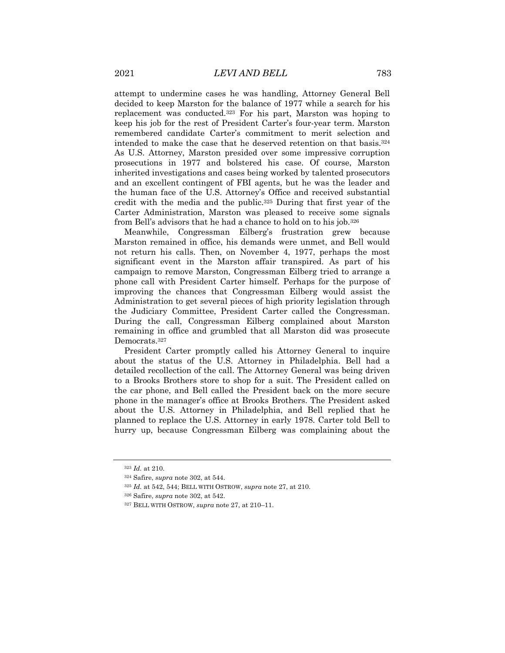attempt to undermine cases he was handling, Attorney General Bell decided to keep Marston for the balance of 1977 while a search for his replacement was conducted.323 For his part, Marston was hoping to keep his job for the rest of President Carter's four-year term. Marston remembered candidate Carter's commitment to merit selection and intended to make the case that he deserved retention on that basis.324 As U.S. Attorney, Marston presided over some impressive corruption prosecutions in 1977 and bolstered his case. Of course, Marston inherited investigations and cases being worked by talented prosecutors and an excellent contingent of FBI agents, but he was the leader and the human face of the U.S. Attorney's Office and received substantial credit with the media and the public.325 During that first year of the Carter Administration, Marston was pleased to receive some signals from Bell's advisors that he had a chance to hold on to his job.326

Meanwhile, Congressman Eilberg's frustration grew because Marston remained in office, his demands were unmet, and Bell would not return his calls. Then, on November 4, 1977, perhaps the most significant event in the Marston affair transpired. As part of his campaign to remove Marston, Congressman Eilberg tried to arrange a phone call with President Carter himself. Perhaps for the purpose of improving the chances that Congressman Eilberg would assist the Administration to get several pieces of high priority legislation through the Judiciary Committee, President Carter called the Congressman. During the call, Congressman Eilberg complained about Marston remaining in office and grumbled that all Marston did was prosecute Democrats.327

President Carter promptly called his Attorney General to inquire about the status of the U.S. Attorney in Philadelphia. Bell had a detailed recollection of the call. The Attorney General was being driven to a Brooks Brothers store to shop for a suit. The President called on the car phone, and Bell called the President back on the more secure phone in the manager's office at Brooks Brothers. The President asked about the U.S. Attorney in Philadelphia, and Bell replied that he planned to replace the U.S. Attorney in early 1978. Carter told Bell to hurry up, because Congressman Eilberg was complaining about the

<sup>323</sup> *Id.* at 210.

<sup>324</sup> Safire, *supra* note 302, at 544.

<sup>325</sup> *Id.* at 542, 544; BELL WITH OSTROW, *supra* note 27, at 210.

<sup>326</sup> Safire, *supra* note 302, at 542.

<sup>327</sup> BELL WITH OSTROW, *supra* note 27, at 210–11.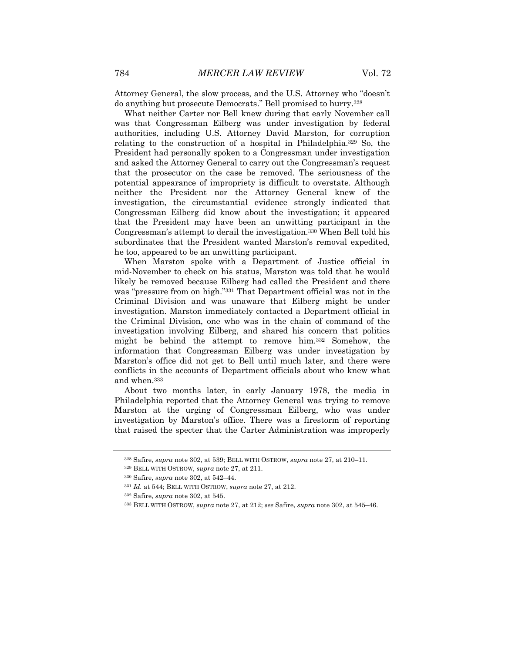Attorney General, the slow process, and the U.S. Attorney who "doesn't do anything but prosecute Democrats." Bell promised to hurry.328

What neither Carter nor Bell knew during that early November call was that Congressman Eilberg was under investigation by federal authorities, including U.S. Attorney David Marston, for corruption relating to the construction of a hospital in Philadelphia.329 So, the President had personally spoken to a Congressman under investigation and asked the Attorney General to carry out the Congressman's request that the prosecutor on the case be removed. The seriousness of the potential appearance of impropriety is difficult to overstate. Although neither the President nor the Attorney General knew of the investigation, the circumstantial evidence strongly indicated that Congressman Eilberg did know about the investigation; it appeared that the President may have been an unwitting participant in the Congressman's attempt to derail the investigation.330 When Bell told his subordinates that the President wanted Marston's removal expedited, he too, appeared to be an unwitting participant.

When Marston spoke with a Department of Justice official in mid-November to check on his status, Marston was told that he would likely be removed because Eilberg had called the President and there was "pressure from on high."331 That Department official was not in the Criminal Division and was unaware that Eilberg might be under investigation. Marston immediately contacted a Department official in the Criminal Division, one who was in the chain of command of the investigation involving Eilberg, and shared his concern that politics might be behind the attempt to remove him.332 Somehow, the information that Congressman Eilberg was under investigation by Marston's office did not get to Bell until much later, and there were conflicts in the accounts of Department officials about who knew what and when.333

About two months later, in early January 1978, the media in Philadelphia reported that the Attorney General was trying to remove Marston at the urging of Congressman Eilberg, who was under investigation by Marston's office. There was a firestorm of reporting that raised the specter that the Carter Administration was improperly

<sup>328</sup> Safire, *supra* note 302, at 539; BELL WITH OSTROW, *supra* note 27, at 210–11.

<sup>329</sup> BELL WITH OSTROW, *supra* note 27, at 211.

<sup>330</sup> Safire, *supra* note 302, at 542–44.

<sup>331</sup> *Id.* at 544; BELL WITH OSTROW, *supra* note 27, at 212.

<sup>332</sup> Safire, *supra* note 302, at 545.

<sup>333</sup> BELL WITH OSTROW, *supra* note 27, at 212; *see* Safire, *supra* note 302, at 545–46.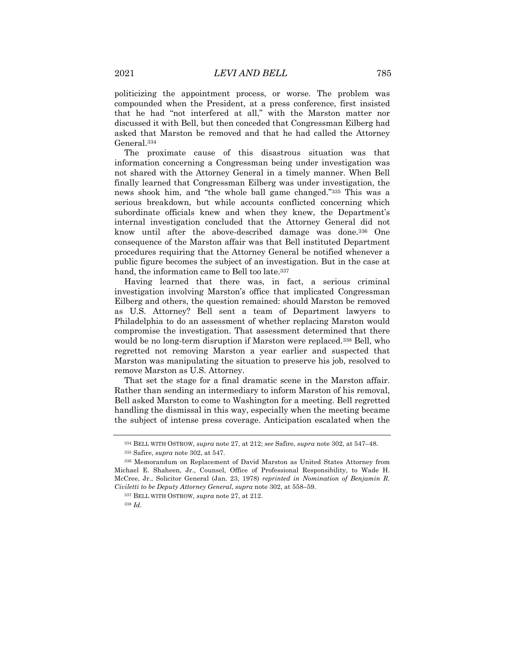politicizing the appointment process, or worse. The problem was compounded when the President, at a press conference, first insisted that he had "not interfered at all," with the Marston matter nor discussed it with Bell, but then conceded that Congressman Eilberg had asked that Marston be removed and that he had called the Attorney General.334

The proximate cause of this disastrous situation was that information concerning a Congressman being under investigation was not shared with the Attorney General in a timely manner. When Bell finally learned that Congressman Eilberg was under investigation, the news shook him, and "the whole ball game changed."335 This was a serious breakdown, but while accounts conflicted concerning which subordinate officials knew and when they knew, the Department's internal investigation concluded that the Attorney General did not know until after the above-described damage was done.336 One consequence of the Marston affair was that Bell instituted Department procedures requiring that the Attorney General be notified whenever a public figure becomes the subject of an investigation. But in the case at hand, the information came to Bell too late.<sup>337</sup>

Having learned that there was, in fact, a serious criminal investigation involving Marston's office that implicated Congressman Eilberg and others, the question remained: should Marston be removed as U.S. Attorney? Bell sent a team of Department lawyers to Philadelphia to do an assessment of whether replacing Marston would compromise the investigation. That assessment determined that there would be no long-term disruption if Marston were replaced.338 Bell, who regretted not removing Marston a year earlier and suspected that Marston was manipulating the situation to preserve his job, resolved to remove Marston as U.S. Attorney.

That set the stage for a final dramatic scene in the Marston affair. Rather than sending an intermediary to inform Marston of his removal, Bell asked Marston to come to Washington for a meeting. Bell regretted handling the dismissal in this way, especially when the meeting became the subject of intense press coverage. Anticipation escalated when the

<sup>334</sup> BELL WITH OSTROW, *supra* note 27, at 212; *see* Safire, *supra* note 302, at 547–48.

<sup>335</sup> Safire, *supra* note 302, at 547.

<sup>336</sup> Memorandum on Replacement of David Marston as United States Attorney from Michael E. Shaheen, Jr., Counsel, Office of Professional Responsibility, to Wade H. McCree, Jr., Solicitor General (Jan. 23, 1978) *reprinted in Nomination of Benjamin R. Civiletti to be Deputy Attorney General*, *supra* note 302, at 558–59.

<sup>337</sup> BELL WITH OSTROW, *supra* note 27, at 212.

<sup>338</sup> *Id.*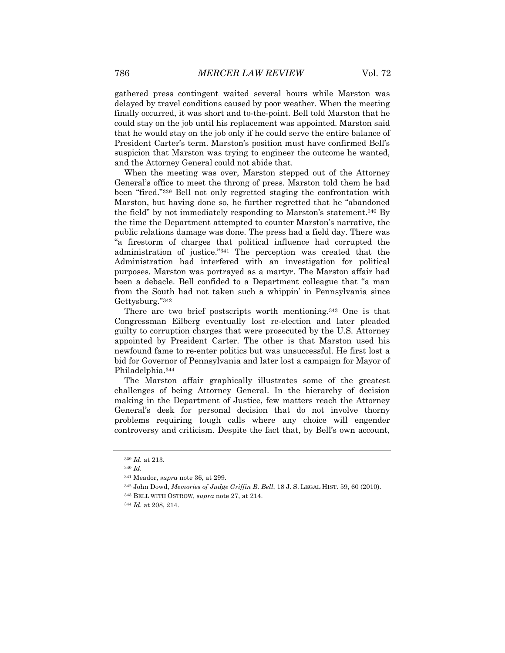gathered press contingent waited several hours while Marston was delayed by travel conditions caused by poor weather. When the meeting finally occurred, it was short and to-the-point. Bell told Marston that he could stay on the job until his replacement was appointed. Marston said that he would stay on the job only if he could serve the entire balance of President Carter's term. Marston's position must have confirmed Bell's suspicion that Marston was trying to engineer the outcome he wanted, and the Attorney General could not abide that.

When the meeting was over, Marston stepped out of the Attorney General's office to meet the throng of press. Marston told them he had been "fired."339 Bell not only regretted staging the confrontation with Marston, but having done so, he further regretted that he "abandoned the field" by not immediately responding to Marston's statement.340 By the time the Department attempted to counter Marston's narrative, the public relations damage was done. The press had a field day. There was "a firestorm of charges that political influence had corrupted the administration of justice."341 The perception was created that the Administration had interfered with an investigation for political purposes. Marston was portrayed as a martyr. The Marston affair had been a debacle. Bell confided to a Department colleague that "a man from the South had not taken such a whippin' in Pennsylvania since Gettysburg."342

There are two brief postscripts worth mentioning.343 One is that Congressman Eilberg eventually lost re-election and later pleaded guilty to corruption charges that were prosecuted by the U.S. Attorney appointed by President Carter. The other is that Marston used his newfound fame to re-enter politics but was unsuccessful. He first lost a bid for Governor of Pennsylvania and later lost a campaign for Mayor of Philadelphia.344

The Marston affair graphically illustrates some of the greatest challenges of being Attorney General. In the hierarchy of decision making in the Department of Justice, few matters reach the Attorney General's desk for personal decision that do not involve thorny problems requiring tough calls where any choice will engender controversy and criticism. Despite the fact that, by Bell's own account,

<sup>339</sup> *Id.* at 213.

<sup>340</sup> *Id.*

<sup>341</sup> Meador, *supra* note 36, at 299.

<sup>342</sup> John Dowd, *Memories of Judge Griffin B. Bell*, 18 J. S. LEGAL HIST. 59, 60 (2010).

<sup>343</sup> BELL WITH OSTROW, *supra* note 27, at 214.

<sup>344</sup> *Id.* at 208, 214.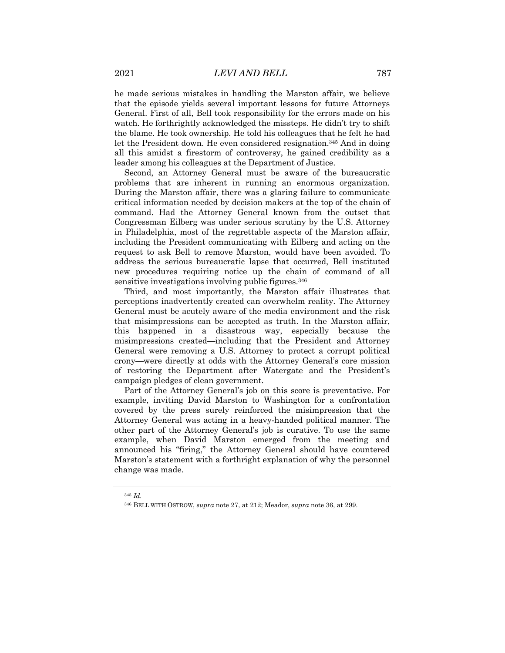he made serious mistakes in handling the Marston affair, we believe that the episode yields several important lessons for future Attorneys General. First of all, Bell took responsibility for the errors made on his watch. He forthrightly acknowledged the missteps. He didn't try to shift the blame. He took ownership. He told his colleagues that he felt he had let the President down. He even considered resignation.345 And in doing all this amidst a firestorm of controversy, he gained credibility as a leader among his colleagues at the Department of Justice.

Second, an Attorney General must be aware of the bureaucratic problems that are inherent in running an enormous organization. During the Marston affair, there was a glaring failure to communicate critical information needed by decision makers at the top of the chain of command. Had the Attorney General known from the outset that Congressman Eilberg was under serious scrutiny by the U.S. Attorney in Philadelphia, most of the regrettable aspects of the Marston affair, including the President communicating with Eilberg and acting on the request to ask Bell to remove Marston, would have been avoided. To address the serious bureaucratic lapse that occurred, Bell instituted new procedures requiring notice up the chain of command of all sensitive investigations involving public figures.<sup>346</sup>

Third, and most importantly, the Marston affair illustrates that perceptions inadvertently created can overwhelm reality. The Attorney General must be acutely aware of the media environment and the risk that misimpressions can be accepted as truth. In the Marston affair, this happened in a disastrous way, especially because the misimpressions created—including that the President and Attorney General were removing a U.S. Attorney to protect a corrupt political crony—were directly at odds with the Attorney General's core mission of restoring the Department after Watergate and the President's campaign pledges of clean government.

Part of the Attorney General's job on this score is preventative. For example, inviting David Marston to Washington for a confrontation covered by the press surely reinforced the misimpression that the Attorney General was acting in a heavy-handed political manner. The other part of the Attorney General's job is curative. To use the same example, when David Marston emerged from the meeting and announced his "firing," the Attorney General should have countered Marston's statement with a forthright explanation of why the personnel change was made.

<sup>345</sup> *Id.*

<sup>346</sup> BELL WITH OSTROW, *supra* note 27, at 212; Meador, *supra* note 36, at 299.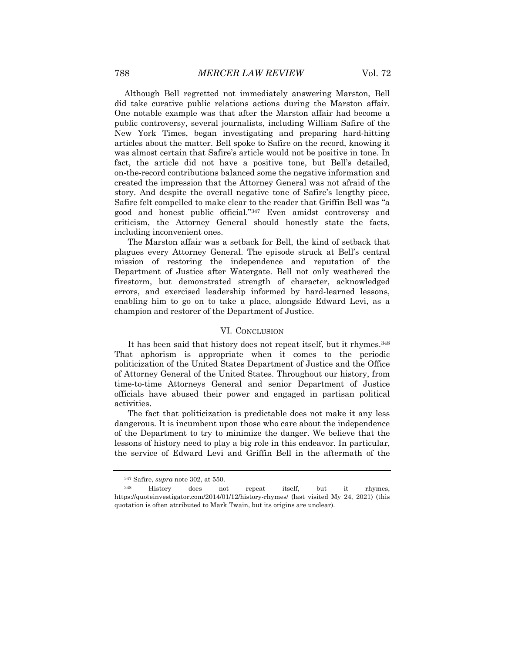Although Bell regretted not immediately answering Marston, Bell did take curative public relations actions during the Marston affair. One notable example was that after the Marston affair had become a public controversy, several journalists, including William Safire of the New York Times, began investigating and preparing hard-hitting articles about the matter. Bell spoke to Safire on the record, knowing it was almost certain that Safire's article would not be positive in tone. In fact, the article did not have a positive tone, but Bell's detailed, on-the-record contributions balanced some the negative information and created the impression that the Attorney General was not afraid of the story. And despite the overall negative tone of Safire's lengthy piece, Safire felt compelled to make clear to the reader that Griffin Bell was "a good and honest public official."347 Even amidst controversy and criticism, the Attorney General should honestly state the facts, including inconvenient ones.

The Marston affair was a setback for Bell, the kind of setback that plagues every Attorney General. The episode struck at Bell's central mission of restoring the independence and reputation of the Department of Justice after Watergate. Bell not only weathered the firestorm, but demonstrated strength of character, acknowledged errors, and exercised leadership informed by hard-learned lessons, enabling him to go on to take a place, alongside Edward Levi, as a champion and restorer of the Department of Justice.

## VI. CONCLUSION

It has been said that history does not repeat itself, but it rhymes.<sup>348</sup> That aphorism is appropriate when it comes to the periodic politicization of the United States Department of Justice and the Office of Attorney General of the United States. Throughout our history, from time-to-time Attorneys General and senior Department of Justice officials have abused their power and engaged in partisan political activities.

The fact that politicization is predictable does not make it any less dangerous. It is incumbent upon those who care about the independence of the Department to try to minimize the danger. We believe that the lessons of history need to play a big role in this endeavor. In particular, the service of Edward Levi and Griffin Bell in the aftermath of the

<sup>347</sup> Safire, *supra* note 302, at 550.

<sup>348</sup> History does not repeat itself, but it rhymes, https://quoteinvestigator.com/2014/01/12/history-rhymes/ (last visited My 24, 2021) (this quotation is often attributed to Mark Twain, but its origins are unclear).